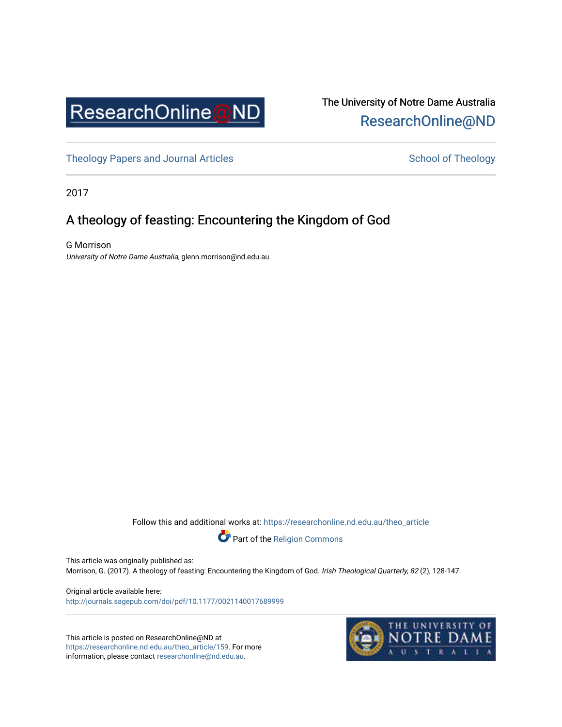

# The University of Notre Dame Australia [ResearchOnline@ND](https://researchonline.nd.edu.au/)

[Theology Papers and Journal Articles](https://researchonline.nd.edu.au/theo_article) and [School of Theology](https://researchonline.nd.edu.au/theo) School of Theology

2017

# A theology of feasting: Encountering the Kingdom of God

G Morrison University of Notre Dame Australia, glenn.morrison@nd.edu.au

Follow this and additional works at: [https://researchonline.nd.edu.au/theo\\_article](https://researchonline.nd.edu.au/theo_article?utm_source=researchonline.nd.edu.au%2Ftheo_article%2F159&utm_medium=PDF&utm_campaign=PDFCoverPages) 



This article was originally published as:

Morrison, G. (2017). A theology of feasting: Encountering the Kingdom of God. Irish Theological Quarterly, 82 (2), 128-147.

Original article available here: <http://journals.sagepub.com/doi/pdf/10.1177/0021140017689999>

This article is posted on ResearchOnline@ND at [https://researchonline.nd.edu.au/theo\\_article/159](https://researchonline.nd.edu.au/theo_article/159). For more information, please contact [researchonline@nd.edu.au.](mailto:researchonline@nd.edu.au)

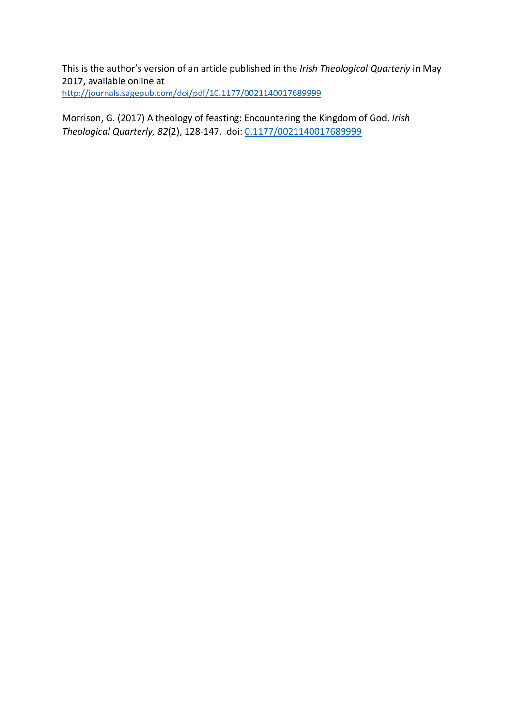This is the author's version of an article published in the *Irish Theological Quarterly* in May 2017, available online at <http://journals.sagepub.com/doi/pdf/10.1177/0021140017689999>

Morrison, G. (2017) A theology of feasting: Encountering the Kingdom of God. *Irish Theological Quarterly, 82*(2), 128-147. doi[: 0.1177/0021140017689999](https://doi-org.ipacez.nd.edu.au/10.1177/0021140017689999)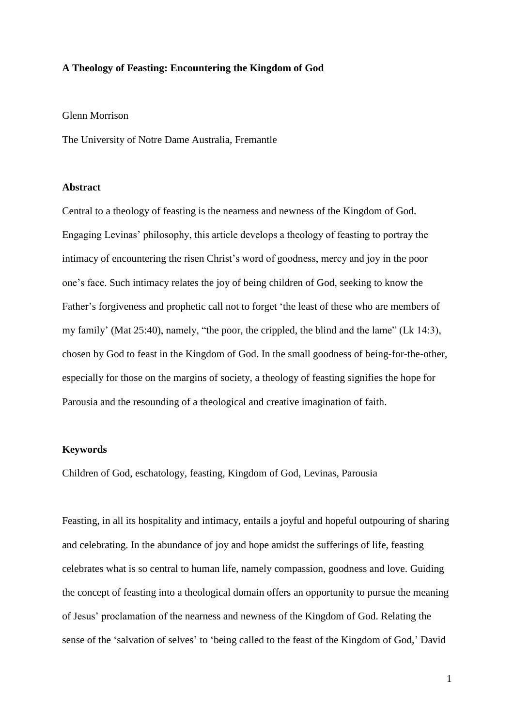### **A Theology of Feasting: Encountering the Kingdom of God**

### Glenn Morrison

The University of Notre Dame Australia, Fremantle

### **Abstract**

Central to a theology of feasting is the nearness and newness of the Kingdom of God. Engaging Levinas' philosophy, this article develops a theology of feasting to portray the intimacy of encountering the risen Christ's word of goodness, mercy and joy in the poor one's face. Such intimacy relates the joy of being children of God, seeking to know the Father's forgiveness and prophetic call not to forget 'the least of these who are members of my family' (Mat 25:40), namely, "the poor, the crippled, the blind and the lame" (Lk 14:3), chosen by God to feast in the Kingdom of God. In the small goodness of being-for-the-other, especially for those on the margins of society, a theology of feasting signifies the hope for Parousia and the resounding of a theological and creative imagination of faith.

## **Keywords**

Children of God, eschatology, feasting, Kingdom of God, Levinas, Parousia

Feasting, in all its hospitality and intimacy, entails a joyful and hopeful outpouring of sharing and celebrating. In the abundance of joy and hope amidst the sufferings of life, feasting celebrates what is so central to human life, namely compassion, goodness and love. Guiding the concept of feasting into a theological domain offers an opportunity to pursue the meaning of Jesus' proclamation of the nearness and newness of the Kingdom of God. Relating the sense of the 'salvation of selves' to 'being called to the feast of the Kingdom of God,' David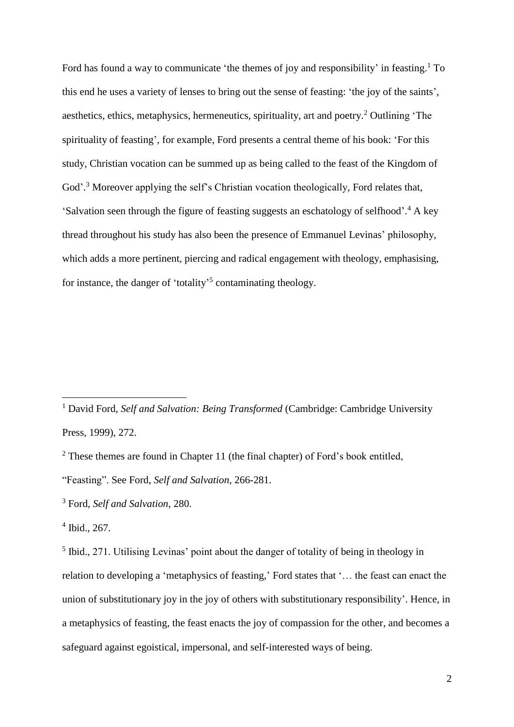Ford has found a way to communicate 'the themes of joy and responsibility' in feasting.<sup>1</sup> To this end he uses a variety of lenses to bring out the sense of feasting: 'the joy of the saints', aesthetics, ethics, metaphysics, hermeneutics, spirituality, art and poetry.<sup>2</sup> Outlining 'The spirituality of feasting', for example, Ford presents a central theme of his book: 'For this study, Christian vocation can be summed up as being called to the feast of the Kingdom of God'.<sup>3</sup> Moreover applying the self's Christian vocation theologically, Ford relates that, 'Salvation seen through the figure of feasting suggests an eschatology of selfhood'. <sup>4</sup> A key thread throughout his study has also been the presence of Emmanuel Levinas' philosophy, which adds a more pertinent, piercing and radical engagement with theology, emphasising, for instance, the danger of 'totality'<sup>5</sup> contaminating theology.

<sup>&</sup>lt;sup>1</sup> David Ford, Self and Salvation: Being Transformed (Cambridge: Cambridge University Press, 1999), 272.

 $2$  These themes are found in Chapter 11 (the final chapter) of Ford's book entitled,

<sup>&</sup>quot;Feasting". See Ford, *Self and Salvation*, 266-281.

<sup>3</sup> Ford, *Self and Salvation*, 280.

<sup>4</sup> Ibid., 267.

<sup>&</sup>lt;sup>5</sup> Ibid., 271. Utilising Levinas' point about the danger of totality of being in theology in relation to developing a 'metaphysics of feasting,' Ford states that '… the feast can enact the union of substitutionary joy in the joy of others with substitutionary responsibility'. Hence, in a metaphysics of feasting, the feast enacts the joy of compassion for the other, and becomes a safeguard against egoistical, impersonal, and self-interested ways of being.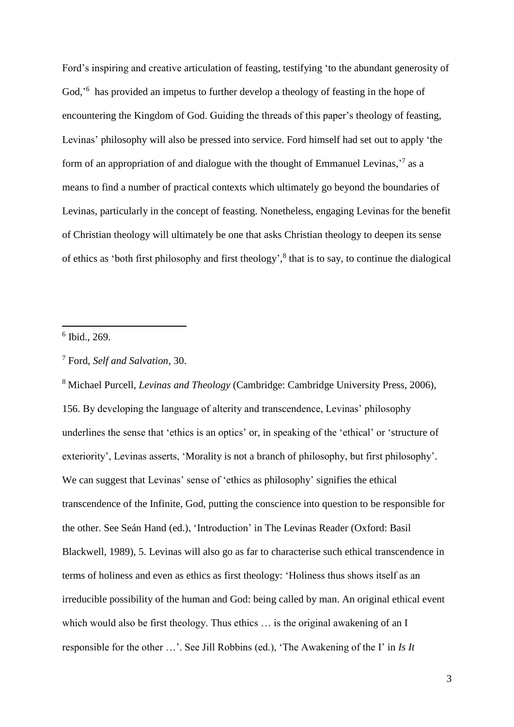Ford's inspiring and creative articulation of feasting, testifying 'to the abundant generosity of God,<sup>'6</sup> has provided an impetus to further develop a theology of feasting in the hope of encountering the Kingdom of God. Guiding the threads of this paper's theology of feasting, Levinas' philosophy will also be pressed into service. Ford himself had set out to apply 'the form of an appropriation of and dialogue with the thought of Emmanuel Levinas,<sup>7</sup> as a means to find a number of practical contexts which ultimately go beyond the boundaries of Levinas, particularly in the concept of feasting. Nonetheless, engaging Levinas for the benefit of Christian theology will ultimately be one that asks Christian theology to deepen its sense of ethics as 'both first philosophy and first theology',<sup>8</sup> that is to say, to continue the dialogical

6 Ibid., 269.

1

<sup>8</sup> Michael Purcell, *Levinas and Theology* (Cambridge: Cambridge University Press, 2006), 156. By developing the language of alterity and transcendence, Levinas' philosophy underlines the sense that 'ethics is an optics' or, in speaking of the 'ethical' or 'structure of exteriority', Levinas asserts, 'Morality is not a branch of philosophy, but first philosophy'. We can suggest that Levinas' sense of 'ethics as philosophy' signifies the ethical transcendence of the Infinite, God, putting the conscience into question to be responsible for the other. See Seán Hand (ed.), 'Introduction' in The Levinas Reader (Oxford: Basil Blackwell, 1989), 5. Levinas will also go as far to characterise such ethical transcendence in terms of holiness and even as ethics as first theology: 'Holiness thus shows itself as an irreducible possibility of the human and God: being called by man. An original ethical event which would also be first theology. Thus ethics … is the original awakening of an I responsible for the other …'. See Jill Robbins (ed.), 'The Awakening of the I' in *Is It* 

<sup>7</sup> Ford, *Self and Salvation*, 30.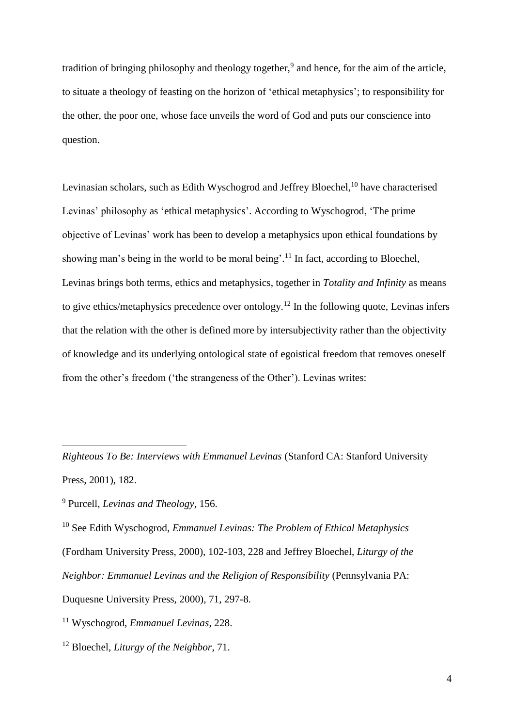tradition of bringing philosophy and theology together,<sup>9</sup> and hence, for the aim of the article, to situate a theology of feasting on the horizon of 'ethical metaphysics'; to responsibility for the other, the poor one, whose face unveils the word of God and puts our conscience into question.

Levinasian scholars, such as Edith Wyschogrod and Jeffrey Bloechel,<sup>10</sup> have characterised Levinas' philosophy as 'ethical metaphysics'. According to Wyschogrod, 'The prime objective of Levinas' work has been to develop a metaphysics upon ethical foundations by showing man's being in the world to be moral being'.<sup>11</sup> In fact, according to Bloechel, Levinas brings both terms, ethics and metaphysics, together in *Totality and Infinity* as means to give ethics/metaphysics precedence over ontology.<sup>12</sup> In the following quote, Levinas infers that the relation with the other is defined more by intersubjectivity rather than the objectivity of knowledge and its underlying ontological state of egoistical freedom that removes oneself from the other's freedom ('the strangeness of the Other'). Levinas writes:

*Righteous To Be: Interviews with Emmanuel Levinas* (Stanford CA: Stanford University Press, 2001), 182.

<sup>9</sup> Purcell, *Levinas and Theology*, 156.

<sup>10</sup> See Edith Wyschogrod, *Emmanuel Levinas: The Problem of Ethical Metaphysics* (Fordham University Press, 2000), 102-103, 228 and Jeffrey Bloechel, *Liturgy of the Neighbor: Emmanuel Levinas and the Religion of Responsibility* (Pennsylvania PA: Duquesne University Press, 2000), 71, 297-8.

<sup>11</sup> Wyschogrod, *Emmanuel Levinas*, 228.

<sup>12</sup> Bloechel, *Liturgy of the Neighbor*, 71.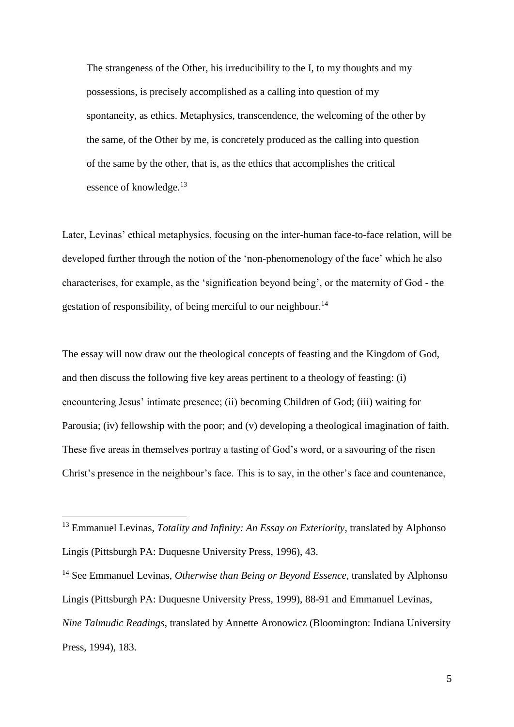The strangeness of the Other, his irreducibility to the I, to my thoughts and my possessions, is precisely accomplished as a calling into question of my spontaneity, as ethics. Metaphysics, transcendence, the welcoming of the other by the same, of the Other by me, is concretely produced as the calling into question of the same by the other, that is, as the ethics that accomplishes the critical essence of knowledge.<sup>13</sup>

Later, Levinas' ethical metaphysics, focusing on the inter-human face-to-face relation, will be developed further through the notion of the 'non-phenomenology of the face' which he also characterises, for example, as the 'signification beyond being', or the maternity of God - the gestation of responsibility, of being merciful to our neighbour.<sup>14</sup>

The essay will now draw out the theological concepts of feasting and the Kingdom of God, and then discuss the following five key areas pertinent to a theology of feasting: (i) encountering Jesus' intimate presence; (ii) becoming Children of God; (iii) waiting for Parousia; (iv) fellowship with the poor; and (v) developing a theological imagination of faith. These five areas in themselves portray a tasting of God's word, or a savouring of the risen Christ's presence in the neighbour's face. This is to say, in the other's face and countenance,

<sup>13</sup> Emmanuel Levinas, *Totality and Infinity: An Essay on Exteriority*, translated by Alphonso Lingis (Pittsburgh PA: Duquesne University Press, 1996), 43.

<sup>14</sup> See Emmanuel Levinas, *Otherwise than Being or Beyond Essence*, translated by Alphonso Lingis (Pittsburgh PA: Duquesne University Press, 1999), 88-91 and Emmanuel Levinas, *Nine Talmudic Readings*, translated by Annette Aronowicz (Bloomington: Indiana University Press, 1994), 183.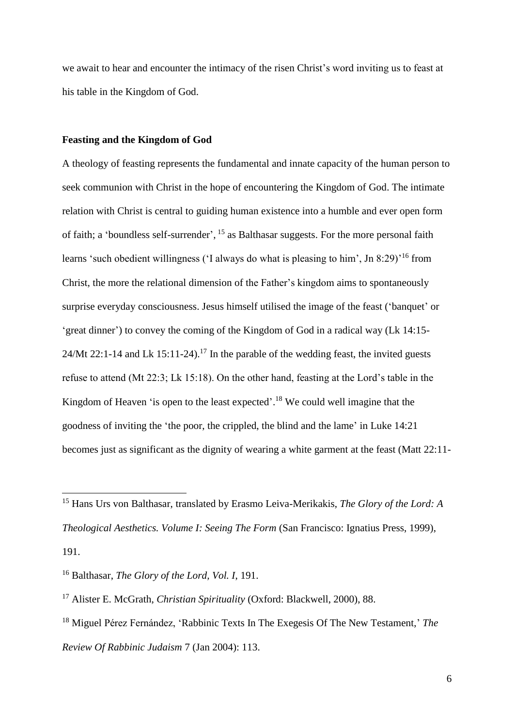we await to hear and encounter the intimacy of the risen Christ's word inviting us to feast at his table in the Kingdom of God.

### **Feasting and the Kingdom of God**

A theology of feasting represents the fundamental and innate capacity of the human person to seek communion with Christ in the hope of encountering the Kingdom of God. The intimate relation with Christ is central to guiding human existence into a humble and ever open form of faith; a 'boundless self-surrender', <sup>15</sup> as Balthasar suggests. For the more personal faith learns 'such obedient willingness ('I always do what is pleasing to him', Jn 8:29)<sup>'16</sup> from Christ, the more the relational dimension of the Father's kingdom aims to spontaneously surprise everyday consciousness. Jesus himself utilised the image of the feast ('banquet' or 'great dinner') to convey the coming of the Kingdom of God in a radical way (Lk 14:15- 24/Mt 22:1-14 and Lk 15:11-24).<sup>17</sup> In the parable of the wedding feast, the invited guests refuse to attend (Mt 22:3; Lk 15:18). On the other hand, feasting at the Lord's table in the Kingdom of Heaven 'is open to the least expected'. <sup>18</sup> We could well imagine that the goodness of inviting the 'the poor, the crippled, the blind and the lame' in Luke 14:21 becomes just as significant as the dignity of wearing a white garment at the feast (Matt 22:11-

<u>.</u>

<sup>15</sup> Hans Urs von Balthasar, translated by Erasmo Leiva-Merikakis, *The Glory of the Lord: A Theological Aesthetics. Volume I: Seeing The Form* (San Francisco: Ignatius Press, 1999), 191.

<sup>16</sup> Balthasar, *The Glory of the Lord, Vol. I*, 191.

<sup>17</sup> Alister E. McGrath, *Christian Spirituality* (Oxford: Blackwell, 2000), 88.

<sup>18</sup> Miguel Pérez Fernández, 'Rabbinic Texts In The Exegesis Of The New Testament,' *The Review Of Rabbinic Judaism* 7 (Jan 2004): 113.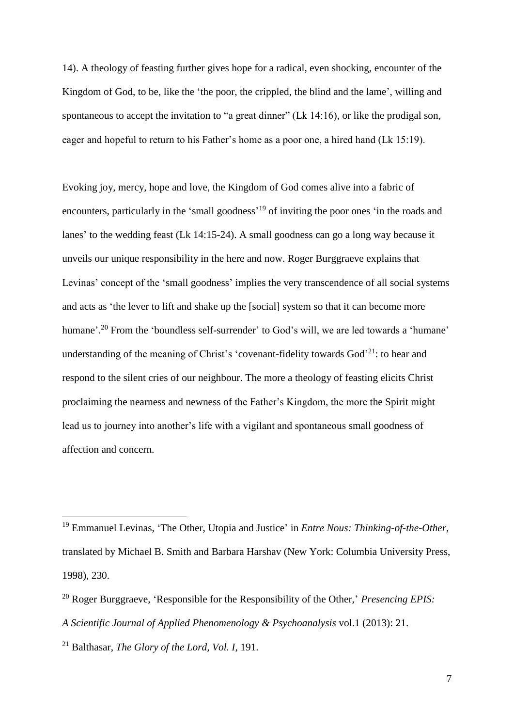14). A theology of feasting further gives hope for a radical, even shocking, encounter of the Kingdom of God, to be, like the 'the poor, the crippled, the blind and the lame', willing and spontaneous to accept the invitation to "a great dinner" (Lk 14:16), or like the prodigal son, eager and hopeful to return to his Father's home as a poor one, a hired hand (Lk 15:19).

Evoking joy, mercy, hope and love, the Kingdom of God comes alive into a fabric of encounters, particularly in the 'small goodness'<sup>19</sup> of inviting the poor ones 'in the roads and lanes' to the wedding feast (Lk 14:15-24). A small goodness can go a long way because it unveils our unique responsibility in the here and now. Roger Burggraeve explains that Levinas' concept of the 'small goodness' implies the very transcendence of all social systems and acts as 'the lever to lift and shake up the [social] system so that it can become more humane'.<sup>20</sup> From the 'boundless self-surrender' to God's will, we are led towards a 'humane' understanding of the meaning of Christ's 'covenant-fidelity towards  $God<sup>21</sup>$ : to hear and respond to the silent cries of our neighbour. The more a theology of feasting elicits Christ proclaiming the nearness and newness of the Father's Kingdom, the more the Spirit might lead us to journey into another's life with a vigilant and spontaneous small goodness of affection and concern.

<sup>19</sup> Emmanuel Levinas, 'The Other, Utopia and Justice' in *Entre Nous: Thinking-of-the-Other*, translated by Michael B. Smith and Barbara Harshav (New York: Columbia University Press, 1998), 230.

<sup>20</sup> Roger Burggraeve, 'Responsible for the Responsibility of the Other,' *Presencing EPIS:*

*A Scientific Journal of Applied Phenomenology & Psychoanalysis* vol.1 (2013): 21.

<sup>21</sup> Balthasar, *The Glory of the Lord, Vol. I*, 191.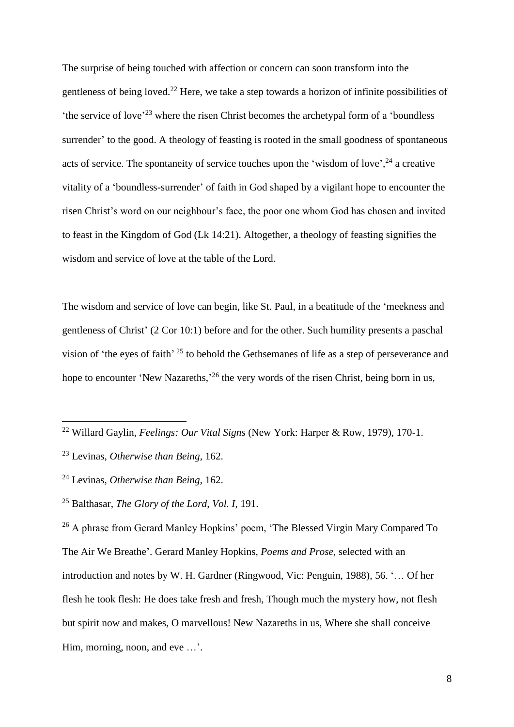The surprise of being touched with affection or concern can soon transform into the gentleness of being loved.<sup>22</sup> Here, we take a step towards a horizon of infinite possibilities of 'the service of love'<sup>23</sup> where the risen Christ becomes the archetypal form of a 'boundless surrender' to the good. A theology of feasting is rooted in the small goodness of spontaneous acts of service. The spontaneity of service touches upon the 'wisdom of love',<sup>24</sup> a creative vitality of a 'boundless-surrender' of faith in God shaped by a vigilant hope to encounter the risen Christ's word on our neighbour's face, the poor one whom God has chosen and invited to feast in the Kingdom of God (Lk 14:21). Altogether, a theology of feasting signifies the wisdom and service of love at the table of the Lord.

The wisdom and service of love can begin, like St. Paul, in a beatitude of the 'meekness and gentleness of Christ' (2 Cor 10:1) before and for the other. Such humility presents a paschal vision of 'the eyes of faith' <sup>25</sup> to behold the Gethsemanes of life as a step of perseverance and hope to encounter 'New Nazareths,<sup>26</sup> the very words of the risen Christ, being born in us,

<u>.</u>

<sup>26</sup> A phrase from Gerard Manley Hopkins' poem, 'The Blessed Virgin Mary Compared To The Air We Breathe'. Gerard Manley Hopkins, *Poems and Prose*, selected with an introduction and notes by W. H. Gardner (Ringwood, Vic: Penguin, 1988), 56. '… Of her flesh he took flesh: He does take fresh and fresh, Though much the mystery how, not flesh but spirit now and makes, O marvellous! New Nazareths in us, Where she shall conceive Him, morning, noon, and eve ...'.

<sup>22</sup> Willard Gaylin, *Feelings: Our Vital Signs* (New York: Harper & Row, 1979), 170-1.

<sup>23</sup> Levinas, *Otherwise than Being*, 162.

<sup>24</sup> Levinas, *Otherwise than Being*, 162.

<sup>25</sup> Balthasar, *The Glory of the Lord, Vol. I*, 191.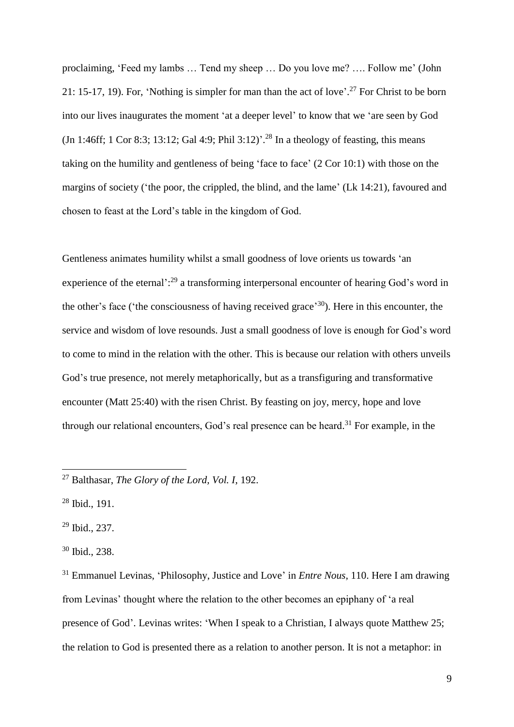proclaiming, 'Feed my lambs … Tend my sheep … Do you love me? …. Follow me' (John 21: 15-17, 19). For, 'Nothing is simpler for man than the act of love'.<sup>27</sup> For Christ to be born into our lives inaugurates the moment 'at a deeper level' to know that we 'are seen by God  $(In 1:46ff; 1 Cor 8:3; 13:12; Gal 4:9; Phil 3:12)<sup>28</sup> In a theology of feasting, this means$ taking on the humility and gentleness of being 'face to face' (2 Cor 10:1) with those on the margins of society ('the poor, the crippled, the blind, and the lame' (Lk 14:21), favoured and chosen to feast at the Lord's table in the kingdom of God.

Gentleness animates humility whilst a small goodness of love orients us towards 'an experience of the eternal':<sup>29</sup> a transforming interpersonal encounter of hearing God's word in the other's face ('the consciousness of having received grace'<sup>30</sup>). Here in this encounter, the service and wisdom of love resounds. Just a small goodness of love is enough for God's word to come to mind in the relation with the other. This is because our relation with others unveils God's true presence, not merely metaphorically, but as a transfiguring and transformative encounter (Matt 25:40) with the risen Christ. By feasting on joy, mercy, hope and love through our relational encounters, God's real presence can be heard. <sup>31</sup> For example, in the

<sup>28</sup> Ibid., 191.

1

<sup>29</sup> Ibid., 237.

<sup>30</sup> Ibid., 238.

<sup>31</sup> Emmanuel Levinas, 'Philosophy, Justice and Love' in *Entre Nous*, 110. Here I am drawing from Levinas' thought where the relation to the other becomes an epiphany of 'a real presence of God'. Levinas writes: 'When I speak to a Christian, I always quote Matthew 25; the relation to God is presented there as a relation to another person. It is not a metaphor: in

<sup>27</sup> Balthasar, *The Glory of the Lord, Vol. I*, 192.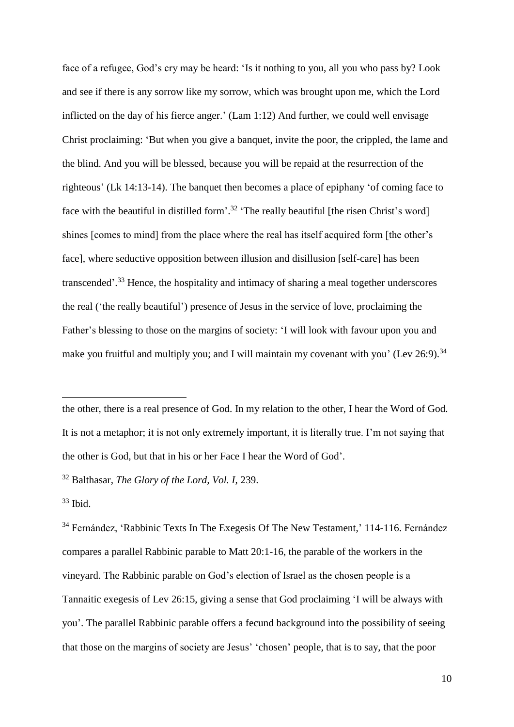face of a refugee, God's cry may be heard: 'Is it nothing to you, all you who pass by? Look and see if there is any sorrow like my sorrow, which was brought upon me, which the Lord inflicted on the day of his fierce anger.' (Lam 1:12) And further, we could well envisage Christ proclaiming: 'But when you give a banquet, invite the poor, the crippled, the lame and the blind. And you will be blessed, because you will be repaid at the resurrection of the righteous' (Lk 14:13-14). The banquet then becomes a place of epiphany 'of coming face to face with the beautiful in distilled form'.<sup>32</sup> 'The really beautiful [the risen Christ's word] shines [comes to mind] from the place where the real has itself acquired form [the other's face], where seductive opposition between illusion and disillusion [self-care] has been transcended'.<sup>33</sup> Hence, the hospitality and intimacy of sharing a meal together underscores the real ('the really beautiful') presence of Jesus in the service of love, proclaiming the Father's blessing to those on the margins of society: 'I will look with favour upon you and make you fruitful and multiply you; and I will maintain my covenant with you' (Lev 26:9).<sup>34</sup>

the other, there is a real presence of God. In my relation to the other, I hear the Word of God. It is not a metaphor; it is not only extremely important, it is literally true. I'm not saying that the other is God, but that in his or her Face I hear the Word of God'.

<sup>32</sup> Balthasar, *The Glory of the Lord, Vol. I*, 239.

 $33$  Ibid.

1

<sup>34</sup> Fernández, 'Rabbinic Texts In The Exegesis Of The New Testament,' 114-116. Fernández compares a parallel Rabbinic parable to Matt 20:1-16, the parable of the workers in the vineyard. The Rabbinic parable on God's election of Israel as the chosen people is a Tannaitic exegesis of Lev 26:15, giving a sense that God proclaiming 'I will be always with you'. The parallel Rabbinic parable offers a fecund background into the possibility of seeing that those on the margins of society are Jesus' 'chosen' people, that is to say, that the poor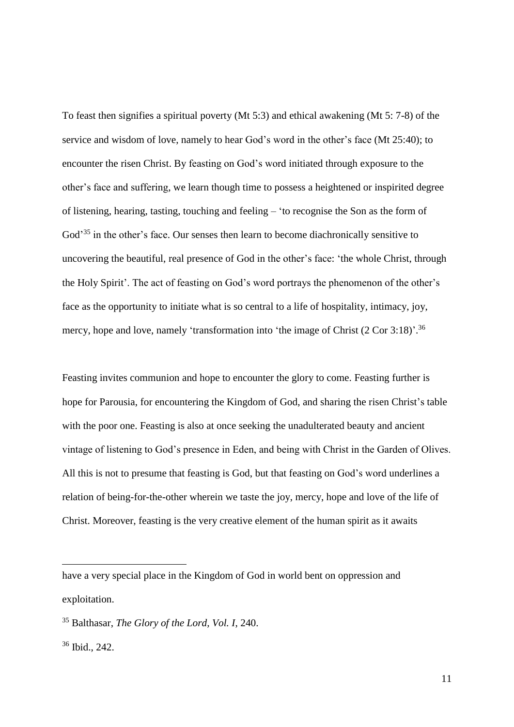To feast then signifies a spiritual poverty (Mt 5:3) and ethical awakening (Mt 5: 7-8) of the service and wisdom of love, namely to hear God's word in the other's face (Mt 25:40); to encounter the risen Christ. By feasting on God's word initiated through exposure to the other's face and suffering, we learn though time to possess a heightened or inspirited degree of listening, hearing, tasting, touching and feeling – 'to recognise the Son as the form of God<sup>35</sup> in the other's face. Our senses then learn to become diachronically sensitive to uncovering the beautiful, real presence of God in the other's face: 'the whole Christ, through the Holy Spirit'. The act of feasting on God's word portrays the phenomenon of the other's face as the opportunity to initiate what is so central to a life of hospitality, intimacy, joy, mercy, hope and love, namely 'transformation into 'the image of Christ (2 Cor 3:18)'.<sup>36</sup>

Feasting invites communion and hope to encounter the glory to come. Feasting further is hope for Parousia, for encountering the Kingdom of God, and sharing the risen Christ's table with the poor one. Feasting is also at once seeking the unadulterated beauty and ancient vintage of listening to God's presence in Eden, and being with Christ in the Garden of Olives. All this is not to presume that feasting is God, but that feasting on God's word underlines a relation of being-for-the-other wherein we taste the joy, mercy, hope and love of the life of Christ. Moreover, feasting is the very creative element of the human spirit as it awaits

have a very special place in the Kingdom of God in world bent on oppression and exploitation.

<sup>35</sup> Balthasar, *The Glory of the Lord, Vol. I*, 240.

<sup>36</sup> Ibid., 242.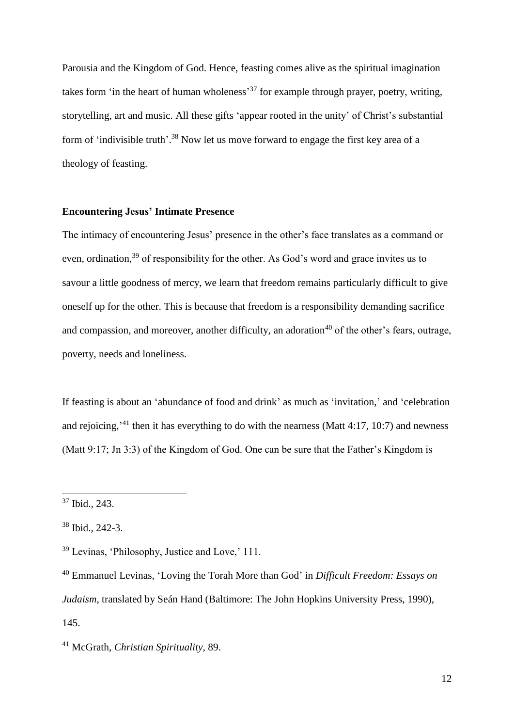Parousia and the Kingdom of God. Hence, feasting comes alive as the spiritual imagination takes form 'in the heart of human wholeness<sup>37</sup> for example through prayer, poetry, writing, storytelling, art and music. All these gifts 'appear rooted in the unity' of Christ's substantial form of 'indivisible truth'.<sup>38</sup> Now let us move forward to engage the first key area of a theology of feasting.

### **Encountering Jesus' Intimate Presence**

The intimacy of encountering Jesus' presence in the other's face translates as a command or even, ordination,<sup>39</sup> of responsibility for the other. As God's word and grace invites us to savour a little goodness of mercy, we learn that freedom remains particularly difficult to give oneself up for the other. This is because that freedom is a responsibility demanding sacrifice and compassion, and moreover, another difficulty, an adoration<sup>40</sup> of the other's fears, outrage, poverty, needs and loneliness.

If feasting is about an 'abundance of food and drink' as much as 'invitation,' and 'celebration and rejoicing,<sup> $41$ </sup> then it has everything to do with the nearness (Matt 4:17, 10:7) and newness (Matt 9:17; Jn 3:3) of the Kingdom of God. One can be sure that the Father's Kingdom is

<u>.</u>

<sup>37</sup> Ibid., 243.

<sup>38</sup> Ibid., 242-3.

<sup>39</sup> Levinas, 'Philosophy, Justice and Love,' 111.

<sup>40</sup> Emmanuel Levinas, 'Loving the Torah More than God' in *Difficult Freedom: Essays on Judaism*, translated by Seán Hand (Baltimore: The John Hopkins University Press, 1990), 145.

<sup>41</sup> McGrath, *Christian Spirituality*, 89.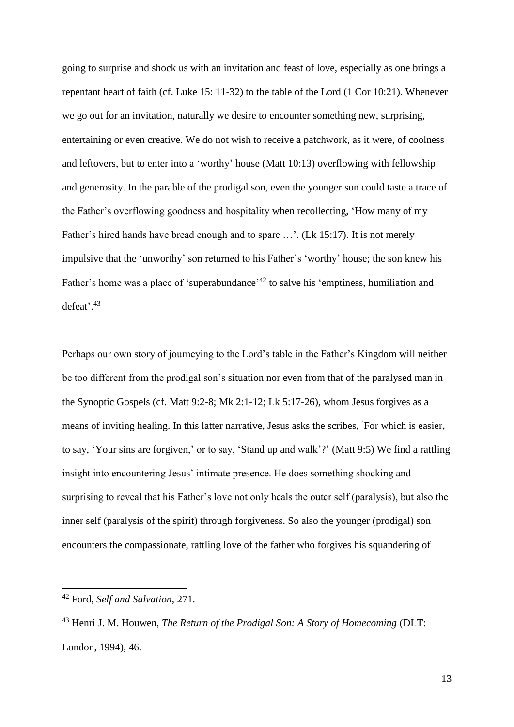going to surprise and shock us with an invitation and feast of love, especially as one brings a repentant heart of faith (cf. Luke 15: 11-32) to the table of the Lord (1 Cor 10:21). Whenever we go out for an invitation, naturally we desire to encounter something new, surprising, entertaining or even creative. We do not wish to receive a patchwork, as it were, of coolness and leftovers, but to enter into a 'worthy' house (Matt 10:13) overflowing with fellowship and generosity. In the parable of the prodigal son, even the younger son could taste a trace of the Father's overflowing goodness and hospitality when recollecting, 'How many of my Father's hired hands have bread enough and to spare …'. (Lk 15:17). It is not merely impulsive that the 'unworthy' son returned to his Father's 'worthy' house; the son knew his Father's home was a place of 'superabundance'<sup>42</sup> to salve his 'emptiness, humiliation and defeat'. 43

Perhaps our own story of journeying to the Lord's table in the Father's Kingdom will neither be too different from the prodigal son's situation nor even from that of the paralysed man in the Synoptic Gospels (cf. Matt 9:2-8; Mk 2:1-12; Lk 5:17-26), whom Jesus forgives as a means of inviting healing. In this latter narrative, Jesus asks the scribes, 'For which is easier, to say, 'Your sins are forgiven,' or to say, 'Stand up and walk'?' (Matt 9:5) We find a rattling insight into encountering Jesus' intimate presence. He does something shocking and surprising to reveal that his Father's love not only heals the outer self (paralysis), but also the inner self (paralysis of the spirit) through forgiveness. So also the younger (prodigal) son encounters the compassionate, rattling love of the father who forgives his squandering of

<sup>42</sup> Ford, *Self and Salvation*, 271.

<sup>43</sup> Henri J. M. Houwen, *The Return of the Prodigal Son: A Story of Homecoming* (DLT: London, 1994), 46.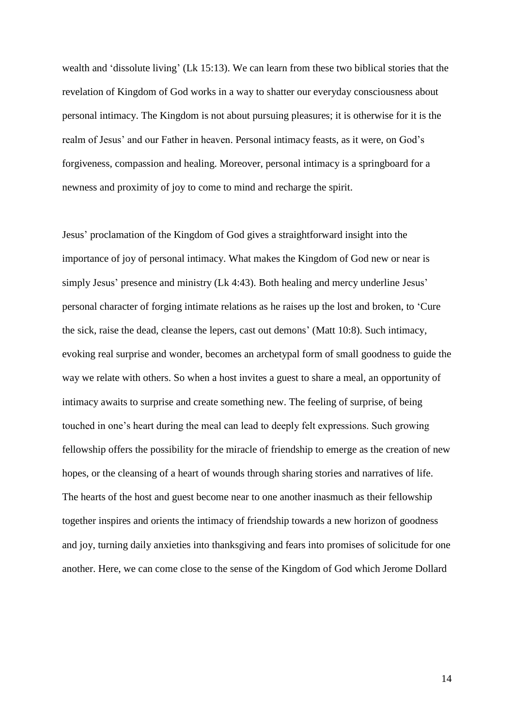wealth and 'dissolute living' (Lk 15:13). We can learn from these two biblical stories that the revelation of Kingdom of God works in a way to shatter our everyday consciousness about personal intimacy. The Kingdom is not about pursuing pleasures; it is otherwise for it is the realm of Jesus' and our Father in heaven. Personal intimacy feasts, as it were, on God's forgiveness, compassion and healing. Moreover, personal intimacy is a springboard for a newness and proximity of joy to come to mind and recharge the spirit.

Jesus' proclamation of the Kingdom of God gives a straightforward insight into the importance of joy of personal intimacy. What makes the Kingdom of God new or near is simply Jesus' presence and ministry (Lk 4:43). Both healing and mercy underline Jesus' personal character of forging intimate relations as he raises up the lost and broken, to 'Cure the sick, raise the dead, cleanse the lepers, cast out demons' (Matt 10:8). Such intimacy, evoking real surprise and wonder, becomes an archetypal form of small goodness to guide the way we relate with others. So when a host invites a guest to share a meal, an opportunity of intimacy awaits to surprise and create something new. The feeling of surprise, of being touched in one's heart during the meal can lead to deeply felt expressions. Such growing fellowship offers the possibility for the miracle of friendship to emerge as the creation of new hopes, or the cleansing of a heart of wounds through sharing stories and narratives of life. The hearts of the host and guest become near to one another inasmuch as their fellowship together inspires and orients the intimacy of friendship towards a new horizon of goodness and joy, turning daily anxieties into thanksgiving and fears into promises of solicitude for one another. Here, we can come close to the sense of the Kingdom of God which Jerome Dollard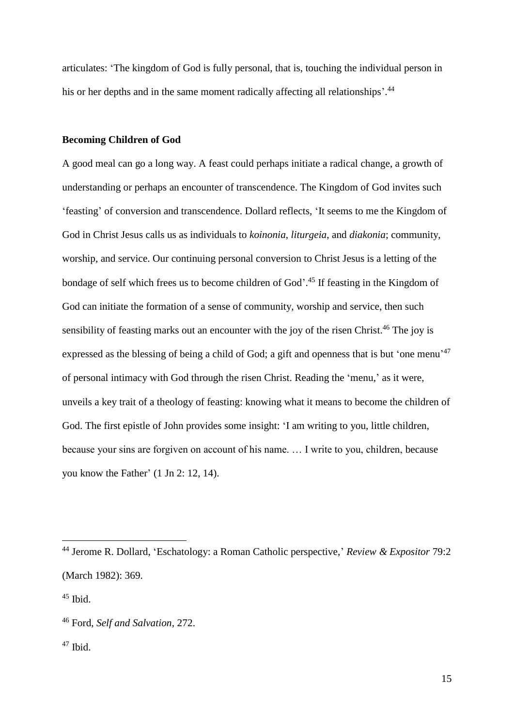articulates: 'The kingdom of God is fully personal, that is, touching the individual person in his or her depths and in the same moment radically affecting all relationships'.<sup>44</sup>

### **Becoming Children of God**

A good meal can go a long way. A feast could perhaps initiate a radical change, a growth of understanding or perhaps an encounter of transcendence. The Kingdom of God invites such 'feasting' of conversion and transcendence. Dollard reflects, 'It seems to me the Kingdom of God in Christ Jesus calls us as individuals to *koinonia*, *liturgeia*, and *diakonia*; community, worship, and service. Our continuing personal conversion to Christ Jesus is a letting of the bondage of self which frees us to become children of God'. <sup>45</sup> If feasting in the Kingdom of God can initiate the formation of a sense of community, worship and service, then such sensibility of feasting marks out an encounter with the joy of the risen Christ.<sup>46</sup> The joy is expressed as the blessing of being a child of God; a gift and openness that is but 'one menu'<sup>47</sup> of personal intimacy with God through the risen Christ. Reading the 'menu,' as it were, unveils a key trait of a theology of feasting: knowing what it means to become the children of God. The first epistle of John provides some insight: 'I am writing to you, little children, because your sins are forgiven on account of his name. … I write to you, children, because you know the Father' (1 Jn 2: 12, 14).

<sup>44</sup> Jerome R. Dollard, 'Eschatology: a Roman Catholic perspective,' *Review & Expositor* 79:2 (March 1982): 369.

 $45$  Ibid.

<sup>46</sup> Ford, *Self and Salvation*, 272.

 $47$  Ibid.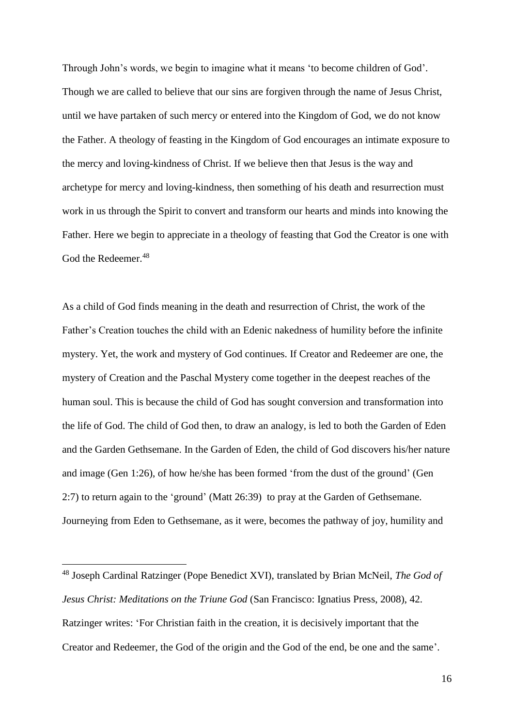Through John's words, we begin to imagine what it means 'to become children of God'. Though we are called to believe that our sins are forgiven through the name of Jesus Christ, until we have partaken of such mercy or entered into the Kingdom of God, we do not know the Father. A theology of feasting in the Kingdom of God encourages an intimate exposure to the mercy and loving-kindness of Christ. If we believe then that Jesus is the way and archetype for mercy and loving-kindness, then something of his death and resurrection must work in us through the Spirit to convert and transform our hearts and minds into knowing the Father. Here we begin to appreciate in a theology of feasting that God the Creator is one with God the Redeemer.<sup>48</sup>

As a child of God finds meaning in the death and resurrection of Christ, the work of the Father's Creation touches the child with an Edenic nakedness of humility before the infinite mystery. Yet, the work and mystery of God continues. If Creator and Redeemer are one, the mystery of Creation and the Paschal Mystery come together in the deepest reaches of the human soul. This is because the child of God has sought conversion and transformation into the life of God. The child of God then, to draw an analogy, is led to both the Garden of Eden and the Garden Gethsemane. In the Garden of Eden, the child of God discovers his/her nature and image (Gen 1:26), of how he/she has been formed 'from the dust of the ground' (Gen 2:7) to return again to the 'ground' (Matt 26:39) to pray at the Garden of Gethsemane. Journeying from Eden to Gethsemane, as it were, becomes the pathway of joy, humility and

<sup>48</sup> Joseph Cardinal Ratzinger (Pope Benedict XVI), translated by Brian McNeil, *The God of Jesus Christ: Meditations on the Triune God* (San Francisco: Ignatius Press, 2008), 42. Ratzinger writes: 'For Christian faith in the creation, it is decisively important that the Creator and Redeemer, the God of the origin and the God of the end, be one and the same'.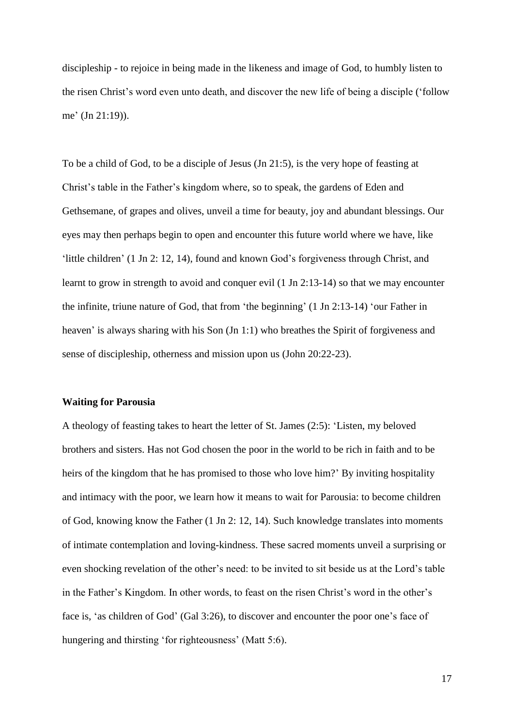discipleship - to rejoice in being made in the likeness and image of God, to humbly listen to the risen Christ's word even unto death, and discover the new life of being a disciple ('follow me' (Jn 21:19)).

To be a child of God, to be a disciple of Jesus (Jn 21:5), is the very hope of feasting at Christ's table in the Father's kingdom where, so to speak, the gardens of Eden and Gethsemane, of grapes and olives, unveil a time for beauty, joy and abundant blessings. Our eyes may then perhaps begin to open and encounter this future world where we have, like 'little children' (1 Jn 2: 12, 14), found and known God's forgiveness through Christ, and learnt to grow in strength to avoid and conquer evil (1 Jn 2:13-14) so that we may encounter the infinite, triune nature of God, that from 'the beginning' (1 Jn 2:13-14) 'our Father in heaven' is always sharing with his Son (Jn 1:1) who breathes the Spirit of forgiveness and sense of discipleship, otherness and mission upon us (John 20:22-23).

#### **Waiting for Parousia**

A theology of feasting takes to heart the letter of St. James (2:5): 'Listen, my beloved brothers and sisters. Has not God chosen the poor in the world to be rich in faith and to be heirs of the kingdom that he has promised to those who love him?' By inviting hospitality and intimacy with the poor, we learn how it means to wait for Parousia: to become children of God, knowing know the Father (1 Jn 2: 12, 14). Such knowledge translates into moments of intimate contemplation and loving-kindness. These sacred moments unveil a surprising or even shocking revelation of the other's need: to be invited to sit beside us at the Lord's table in the Father's Kingdom. In other words, to feast on the risen Christ's word in the other's face is, 'as children of God' (Gal 3:26), to discover and encounter the poor one's face of hungering and thirsting 'for righteousness' (Matt 5:6).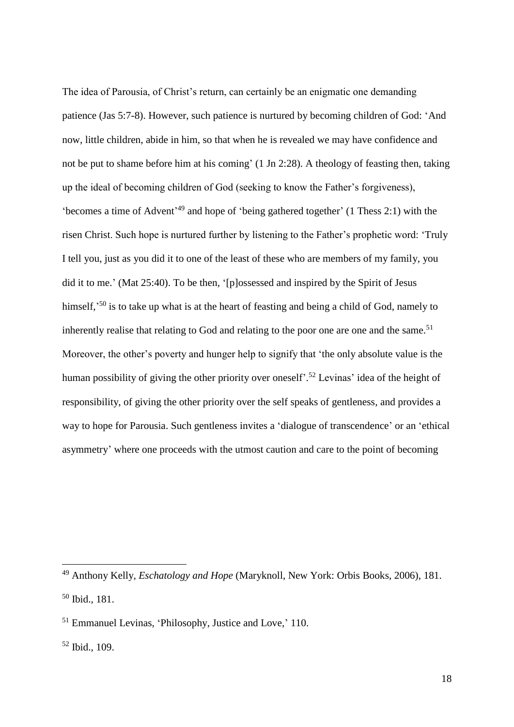The idea of Parousia, of Christ's return, can certainly be an enigmatic one demanding patience (Jas 5:7-8). However, such patience is nurtured by becoming children of God: 'And now, little children, abide in him, so that when he is revealed we may have confidence and not be put to shame before him at his coming' (1 Jn 2:28). A theology of feasting then, taking up the ideal of becoming children of God (seeking to know the Father's forgiveness), 'becomes a time of Advent' <sup>49</sup> and hope of 'being gathered together' (1 Thess 2:1) with the risen Christ. Such hope is nurtured further by listening to the Father's prophetic word: 'Truly I tell you, just as you did it to one of the least of these who are members of my family, you did it to me.' (Mat 25:40). To be then, '[p]ossessed and inspired by the Spirit of Jesus himself,<sup>50</sup> is to take up what is at the heart of feasting and being a child of God, namely to inherently realise that relating to God and relating to the poor one are one and the same.<sup>51</sup> Moreover, the other's poverty and hunger help to signify that 'the only absolute value is the human possibility of giving the other priority over oneself<sup>". 52</sup> Levinas' idea of the height of responsibility, of giving the other priority over the self speaks of gentleness, and provides a way to hope for Parousia. Such gentleness invites a 'dialogue of transcendence' or an 'ethical asymmetry' where one proceeds with the utmost caution and care to the point of becoming

<sup>49</sup> Anthony Kelly, *Eschatology and Hope* (Maryknoll, New York: Orbis Books, 2006), 181. <sup>50</sup> Ibid., 181.

<sup>51</sup> Emmanuel Levinas, 'Philosophy, Justice and Love,' 110.

<sup>52</sup> Ibid., 109.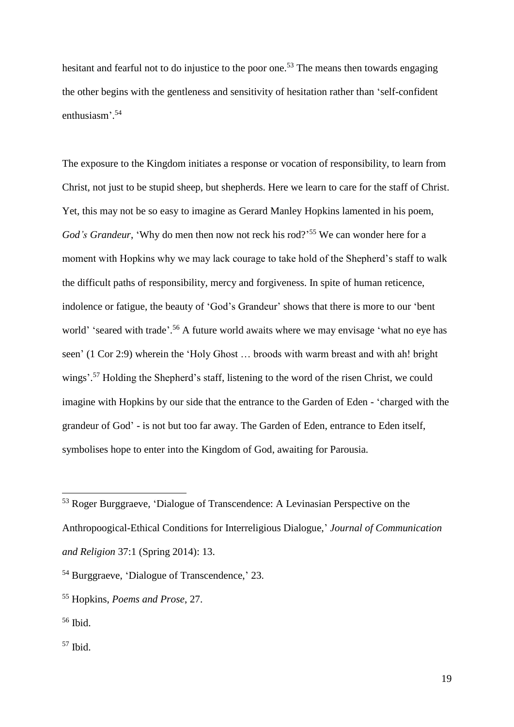hesitant and fearful not to do injustice to the poor one.<sup>53</sup> The means then towards engaging the other begins with the gentleness and sensitivity of hesitation rather than 'self-confident enthusiasm'. 54

The exposure to the Kingdom initiates a response or vocation of responsibility, to learn from Christ, not just to be stupid sheep, but shepherds. Here we learn to care for the staff of Christ. Yet, this may not be so easy to imagine as Gerard Manley Hopkins lamented in his poem, God's Grandeur, 'Why do men then now not reck his rod?<sup>55</sup> We can wonder here for a moment with Hopkins why we may lack courage to take hold of the Shepherd's staff to walk the difficult paths of responsibility, mercy and forgiveness. In spite of human reticence, indolence or fatigue, the beauty of 'God's Grandeur' shows that there is more to our 'bent world' 'seared with trade'.<sup>56</sup> A future world awaits where we may envisage 'what no eye has seen' (1 Cor 2:9) wherein the 'Holy Ghost … broods with warm breast and with ah! bright wings'.<sup>57</sup> Holding the Shepherd's staff, listening to the word of the risen Christ, we could imagine with Hopkins by our side that the entrance to the Garden of Eden - 'charged with the grandeur of God' - is not but too far away. The Garden of Eden, entrance to Eden itself, symbolises hope to enter into the Kingdom of God, awaiting for Parousia.

<u>.</u>

<sup>53</sup> Roger Burggraeve, 'Dialogue of Transcendence: A Levinasian Perspective on the Anthropoogical-Ethical Conditions for Interreligious Dialogue,' *Journal of Communication and Religion* 37:1 (Spring 2014): 13.

<sup>54</sup> Burggraeve, 'Dialogue of Transcendence,' 23.

<sup>55</sup> Hopkins, *Poems and Prose*, 27.

<sup>56</sup> Ibid.

 $57$  Ibid.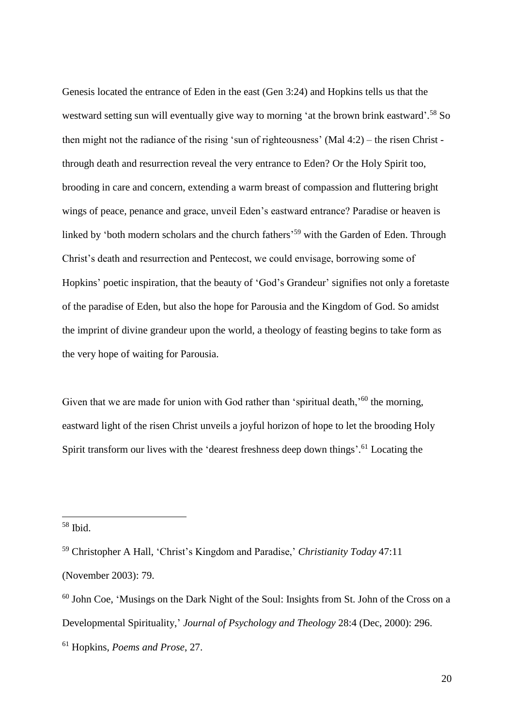Genesis located the entrance of Eden in the east (Gen 3:24) and Hopkins tells us that the westward setting sun will eventually give way to morning 'at the brown brink eastward'.<sup>58</sup> So then might not the radiance of the rising 'sun of righteousness' (Mal 4:2) – the risen Christ through death and resurrection reveal the very entrance to Eden? Or the Holy Spirit too, brooding in care and concern, extending a warm breast of compassion and fluttering bright wings of peace, penance and grace, unveil Eden's eastward entrance? Paradise or heaven is linked by 'both modern scholars and the church fathers<sup>'59</sup> with the Garden of Eden. Through Christ's death and resurrection and Pentecost, we could envisage, borrowing some of Hopkins' poetic inspiration, that the beauty of 'God's Grandeur' signifies not only a foretaste of the paradise of Eden, but also the hope for Parousia and the Kingdom of God. So amidst the imprint of divine grandeur upon the world, a theology of feasting begins to take form as the very hope of waiting for Parousia.

Given that we are made for union with God rather than 'spiritual death,'<sup>60</sup> the morning, eastward light of the risen Christ unveils a joyful horizon of hope to let the brooding Holy Spirit transform our lives with the 'dearest freshness deep down things'.<sup>61</sup> Locating the

 $58$  Ibid.

<sup>59</sup> Christopher A Hall, 'Christ's Kingdom and Paradise,' *Christianity Today* 47:11 (November 2003): 79.

 $60$  John Coe, 'Musings on the Dark Night of the Soul: Insights from St. John of the Cross on a Developmental Spirituality,' *Journal of Psychology and Theology* 28:4 (Dec, 2000): 296. <sup>61</sup> Hopkins, *Poems and Prose*, 27.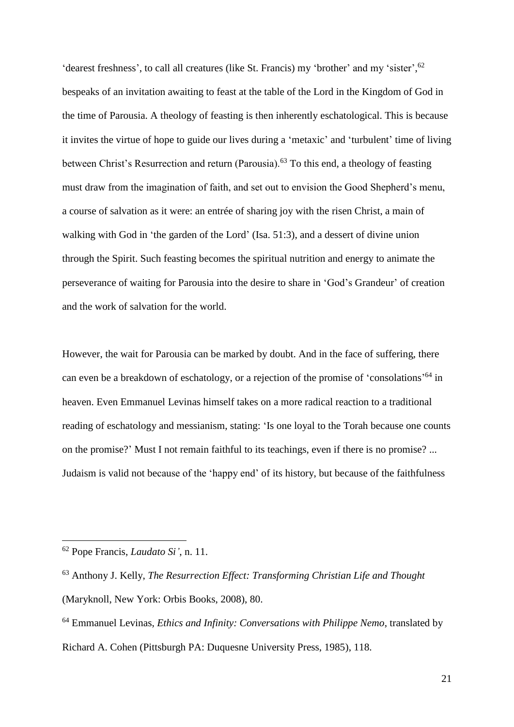'dearest freshness', to call all creatures (like St. Francis) my 'brother' and my 'sister', <sup>62</sup> bespeaks of an invitation awaiting to feast at the table of the Lord in the Kingdom of God in the time of Parousia. A theology of feasting is then inherently eschatological. This is because it invites the virtue of hope to guide our lives during a 'metaxic' and 'turbulent' time of living between Christ's Resurrection and return (Parousia).<sup>63</sup> To this end, a theology of feasting must draw from the imagination of faith, and set out to envision the Good Shepherd's menu, a course of salvation as it were: an entrée of sharing joy with the risen Christ, a main of walking with God in 'the garden of the Lord' (Isa. 51:3), and a dessert of divine union through the Spirit. Such feasting becomes the spiritual nutrition and energy to animate the perseverance of waiting for Parousia into the desire to share in 'God's Grandeur' of creation and the work of salvation for the world.

However, the wait for Parousia can be marked by doubt. And in the face of suffering, there can even be a breakdown of eschatology, or a rejection of the promise of 'consolations'<sup>64</sup> in heaven. Even Emmanuel Levinas himself takes on a more radical reaction to a traditional reading of eschatology and messianism, stating: 'Is one loyal to the Torah because one counts on the promise?' Must I not remain faithful to its teachings, even if there is no promise? ... Judaism is valid not because of the 'happy end' of its history, but because of the faithfulness

<sup>62</sup> Pope Francis, *Laudato Si'*, n. 11.

<sup>63</sup> Anthony J. Kelly, *The Resurrection Effect: Transforming Christian Life and Thought* (Maryknoll, New York: Orbis Books, 2008), 80.

<sup>64</sup> Emmanuel Levinas, *Ethics and Infinity: Conversations with Philippe Nemo*, translated by Richard A. Cohen (Pittsburgh PA: Duquesne University Press, 1985), 118.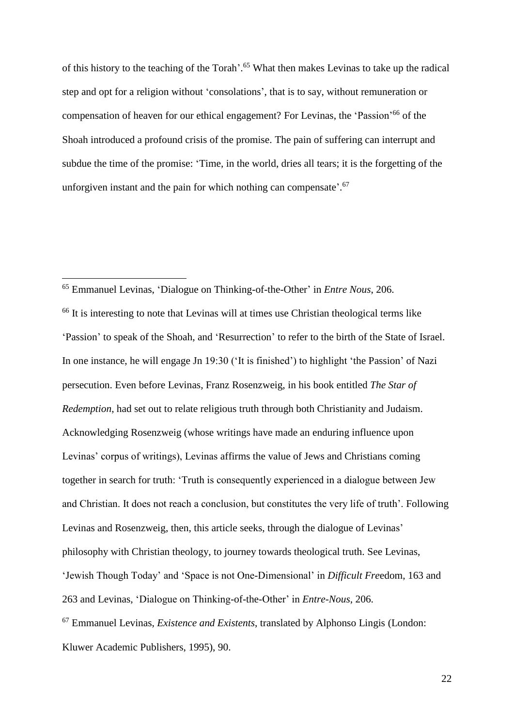of this history to the teaching of the Torah'. <sup>65</sup> What then makes Levinas to take up the radical step and opt for a religion without 'consolations', that is to say, without remuneration or compensation of heaven for our ethical engagement? For Levinas, the 'Passion'<sup>66</sup> of the Shoah introduced a profound crisis of the promise. The pain of suffering can interrupt and subdue the time of the promise: 'Time, in the world, dries all tears; it is the forgetting of the unforgiven instant and the pain for which nothing can compensate'.<sup>67</sup>

<u>.</u>

<sup>66</sup> It is interesting to note that Levinas will at times use Christian theological terms like 'Passion' to speak of the Shoah, and 'Resurrection' to refer to the birth of the State of Israel. In one instance, he will engage Jn 19:30 ('It is finished') to highlight 'the Passion' of Nazi persecution. Even before Levinas, Franz Rosenzweig, in his book entitled *The Star of Redemption*, had set out to relate religious truth through both Christianity and Judaism. Acknowledging Rosenzweig (whose writings have made an enduring influence upon Levinas' corpus of writings), Levinas affirms the value of Jews and Christians coming together in search for truth: 'Truth is consequently experienced in a dialogue between Jew and Christian. It does not reach a conclusion, but constitutes the very life of truth'. Following Levinas and Rosenzweig, then, this article seeks, through the dialogue of Levinas' philosophy with Christian theology, to journey towards theological truth. See Levinas, 'Jewish Though Today' and 'Space is not One-Dimensional' in *Difficult Fre*edom, 163 and 263 and Levinas*,* 'Dialogue on Thinking-of-the-Other' in *Entre-Nous*, 206. <sup>67</sup> Emmanuel Levinas, *Existence and Existents*, translated by Alphonso Lingis (London: Kluwer Academic Publishers, 1995), 90.

<sup>65</sup> Emmanuel Levinas, 'Dialogue on Thinking-of-the-Other' in *Entre Nous*, 206.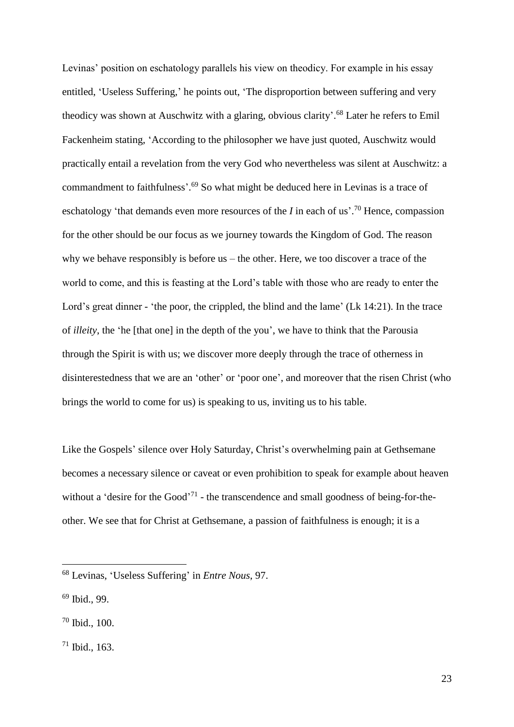Levinas' position on eschatology parallels his view on theodicy. For example in his essay entitled, 'Useless Suffering,' he points out, 'The disproportion between suffering and very theodicy was shown at Auschwitz with a glaring, obvious clarity'.<sup>68</sup> Later he refers to Emil Fackenheim stating, 'According to the philosopher we have just quoted, Auschwitz would practically entail a revelation from the very God who nevertheless was silent at Auschwitz: a commandment to faithfulness'. <sup>69</sup> So what might be deduced here in Levinas is a trace of eschatology 'that demands even more resources of the *I* in each of us'.<sup>70</sup> Hence, compassion for the other should be our focus as we journey towards the Kingdom of God. The reason why we behave responsibly is before us – the other. Here, we too discover a trace of the world to come, and this is feasting at the Lord's table with those who are ready to enter the Lord's great dinner - 'the poor, the crippled, the blind and the lame' (Lk 14:21). In the trace of *illeity*, the 'he [that one] in the depth of the you', we have to think that the Parousia through the Spirit is with us; we discover more deeply through the trace of otherness in disinterestedness that we are an 'other' or 'poor one', and moreover that the risen Christ (who brings the world to come for us) is speaking to us, inviting us to his table.

Like the Gospels' silence over Holy Saturday, Christ's overwhelming pain at Gethsemane becomes a necessary silence or caveat or even prohibition to speak for example about heaven without a 'desire for the Good'<sup>71</sup> - the transcendence and small goodness of being-for-theother. We see that for Christ at Gethsemane, a passion of faithfulness is enough; it is a

<sup>68</sup> Levinas, 'Useless Suffering' in *Entre Nous*, 97.

<sup>69</sup> Ibid., 99.

<sup>70</sup> Ibid., 100.

<sup>71</sup> Ibid., 163.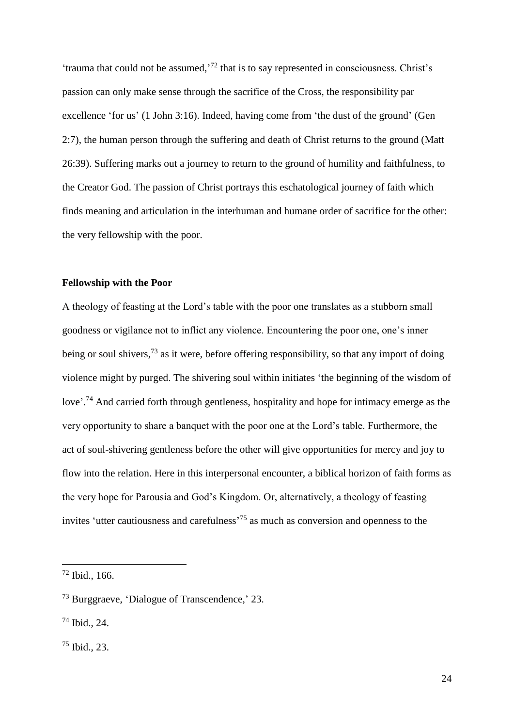'trauma that could not be assumed,<sup>'72</sup> that is to say represented in consciousness. Christ's passion can only make sense through the sacrifice of the Cross, the responsibility par excellence 'for us' (1 John 3:16). Indeed, having come from 'the dust of the ground' (Gen 2:7), the human person through the suffering and death of Christ returns to the ground (Matt 26:39). Suffering marks out a journey to return to the ground of humility and faithfulness, to the Creator God. The passion of Christ portrays this eschatological journey of faith which finds meaning and articulation in the interhuman and humane order of sacrifice for the other: the very fellowship with the poor.

### **Fellowship with the Poor**

A theology of feasting at the Lord's table with the poor one translates as a stubborn small goodness or vigilance not to inflict any violence. Encountering the poor one, one's inner being or soul shivers,  $^{73}$  as it were, before offering responsibility, so that any import of doing violence might by purged. The shivering soul within initiates 'the beginning of the wisdom of love'.<sup>74</sup> And carried forth through gentleness, hospitality and hope for intimacy emerge as the very opportunity to share a banquet with the poor one at the Lord's table. Furthermore, the act of soul-shivering gentleness before the other will give opportunities for mercy and joy to flow into the relation. Here in this interpersonal encounter, a biblical horizon of faith forms as the very hope for Parousia and God's Kingdom. Or, alternatively, a theology of feasting invites 'utter cautiousness and carefulness' <sup>75</sup> as much as conversion and openness to the

<sup>72</sup> Ibid., 166.

<sup>73</sup> Burggraeve, 'Dialogue of Transcendence,' 23.

<sup>74</sup> Ibid., 24.

<sup>75</sup> Ibid., 23.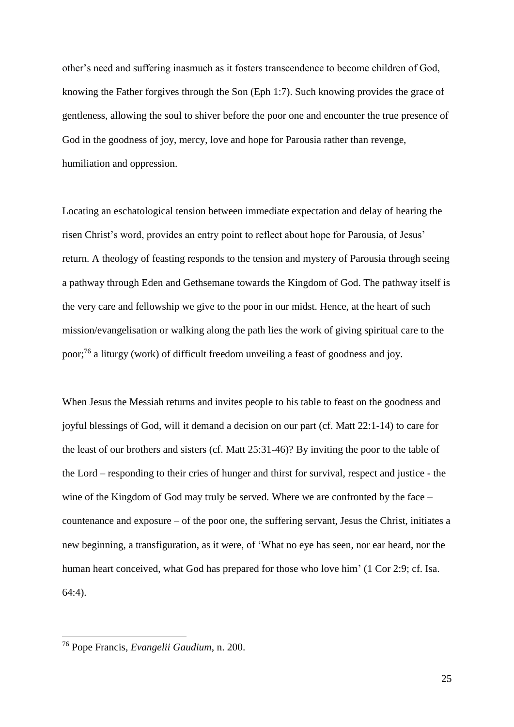other's need and suffering inasmuch as it fosters transcendence to become children of God, knowing the Father forgives through the Son (Eph 1:7). Such knowing provides the grace of gentleness, allowing the soul to shiver before the poor one and encounter the true presence of God in the goodness of joy, mercy, love and hope for Parousia rather than revenge, humiliation and oppression.

Locating an eschatological tension between immediate expectation and delay of hearing the risen Christ's word, provides an entry point to reflect about hope for Parousia, of Jesus' return. A theology of feasting responds to the tension and mystery of Parousia through seeing a pathway through Eden and Gethsemane towards the Kingdom of God. The pathway itself is the very care and fellowship we give to the poor in our midst. Hence, at the heart of such mission/evangelisation or walking along the path lies the work of giving spiritual care to the poor;<sup>76</sup> a liturgy (work) of difficult freedom unveiling a feast of goodness and joy.

When Jesus the Messiah returns and invites people to his table to feast on the goodness and joyful blessings of God, will it demand a decision on our part (cf. Matt 22:1-14) to care for the least of our brothers and sisters (cf. Matt 25:31-46)? By inviting the poor to the table of the Lord – responding to their cries of hunger and thirst for survival, respect and justice - the wine of the Kingdom of God may truly be served. Where we are confronted by the face – countenance and exposure – of the poor one, the suffering servant, Jesus the Christ, initiates a new beginning, a transfiguration, as it were, of 'What no eye has seen, nor ear heard, nor the human heart conceived, what God has prepared for those who love him' (1 Cor 2:9; cf. Isa. 64:4).

<sup>76</sup> Pope Francis, *Evangelii Gaudium*, n. 200.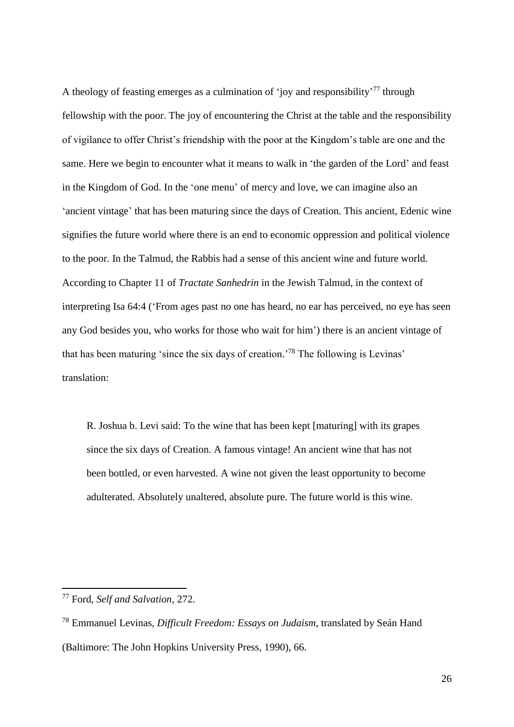A theology of feasting emerges as a culmination of 'joy and responsibility'<sup>77</sup> through fellowship with the poor. The joy of encountering the Christ at the table and the responsibility of vigilance to offer Christ's friendship with the poor at the Kingdom's table are one and the same. Here we begin to encounter what it means to walk in 'the garden of the Lord' and feast in the Kingdom of God. In the 'one menu' of mercy and love, we can imagine also an 'ancient vintage' that has been maturing since the days of Creation. This ancient, Edenic wine signifies the future world where there is an end to economic oppression and political violence to the poor. In the Talmud, the Rabbis had a sense of this ancient wine and future world. According to Chapter 11 of *Tractate Sanhedrin* in the Jewish Talmud, in the context of interpreting Isa 64:4 ('From ages past no one has heard, no ear has perceived, no eye has seen any God besides you, who works for those who wait for him') there is an ancient vintage of that has been maturing 'since the six days of creation.' <sup>78</sup> The following is Levinas' translation:

R. Joshua b. Levi said: To the wine that has been kept [maturing] with its grapes since the six days of Creation. A famous vintage! An ancient wine that has not been bottled, or even harvested. A wine not given the least opportunity to become adulterated. Absolutely unaltered, absolute pure. The future world is this wine.

<sup>77</sup> Ford, *Self and Salvation*, 272.

<sup>78</sup> Emmanuel Levinas, *Difficult Freedom: Essays on Judaism*, translated by Seán Hand (Baltimore: The John Hopkins University Press, 1990), 66.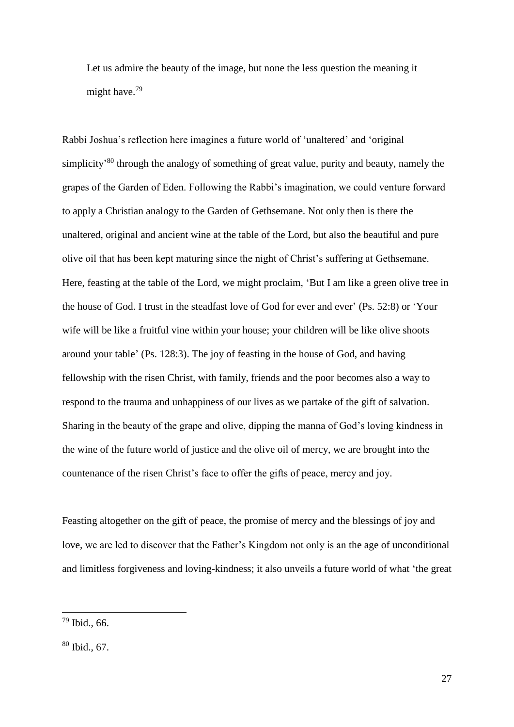Let us admire the beauty of the image, but none the less question the meaning it might have.<sup>79</sup>

Rabbi Joshua's reflection here imagines a future world of 'unaltered' and 'original simplicity<sup>80</sup> through the analogy of something of great value, purity and beauty, namely the grapes of the Garden of Eden. Following the Rabbi's imagination, we could venture forward to apply a Christian analogy to the Garden of Gethsemane. Not only then is there the unaltered, original and ancient wine at the table of the Lord, but also the beautiful and pure olive oil that has been kept maturing since the night of Christ's suffering at Gethsemane. Here, feasting at the table of the Lord, we might proclaim, 'But I am like a green olive tree in the house of God. I trust in the steadfast love of God for ever and ever' (Ps. 52:8) or 'Your wife will be like a fruitful vine within your house; your children will be like olive shoots around your table' (Ps. 128:3). The joy of feasting in the house of God, and having fellowship with the risen Christ, with family, friends and the poor becomes also a way to respond to the trauma and unhappiness of our lives as we partake of the gift of salvation. Sharing in the beauty of the grape and olive, dipping the manna of God's loving kindness in the wine of the future world of justice and the olive oil of mercy, we are brought into the countenance of the risen Christ's face to offer the gifts of peace, mercy and joy.

Feasting altogether on the gift of peace, the promise of mercy and the blessings of joy and love, we are led to discover that the Father's Kingdom not only is an the age of unconditional and limitless forgiveness and loving-kindness; it also unveils a future world of what 'the great

<u>.</u>

 $79$  Ibid., 66.

<sup>80</sup> Ibid., 67.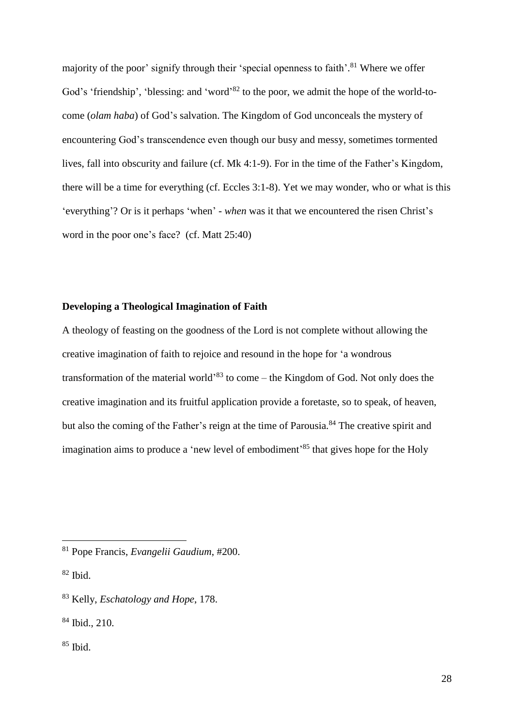majority of the poor' signify through their 'special openness to faith'.<sup>81</sup> Where we offer God's 'friendship', 'blessing: and 'word'<sup>82</sup> to the poor, we admit the hope of the world-tocome (*olam haba*) of God's salvation. The Kingdom of God unconceals the mystery of encountering God's transcendence even though our busy and messy, sometimes tormented lives, fall into obscurity and failure (cf. Mk 4:1-9). For in the time of the Father's Kingdom, there will be a time for everything (cf. Eccles 3:1-8). Yet we may wonder, who or what is this 'everything'? Or is it perhaps 'when' - *when* was it that we encountered the risen Christ's word in the poor one's face? (cf. Matt 25:40)

## **Developing a Theological Imagination of Faith**

A theology of feasting on the goodness of the Lord is not complete without allowing the creative imagination of faith to rejoice and resound in the hope for 'a wondrous transformation of the material world<sup>33</sup> to come – the Kingdom of God. Not only does the creative imagination and its fruitful application provide a foretaste, so to speak, of heaven, but also the coming of the Father's reign at the time of Parousia.<sup>84</sup> The creative spirit and imagination aims to produce a 'new level of embodiment<sup>'85</sup> that gives hope for the Holy

1

 $85$  Ibid.

<sup>81</sup> Pope Francis, *Evangelii Gaudium*, #200.

 $82$  Ibid.

<sup>83</sup> Kelly, *Eschatology and Hope*, 178.

<sup>84</sup> Ibid., 210.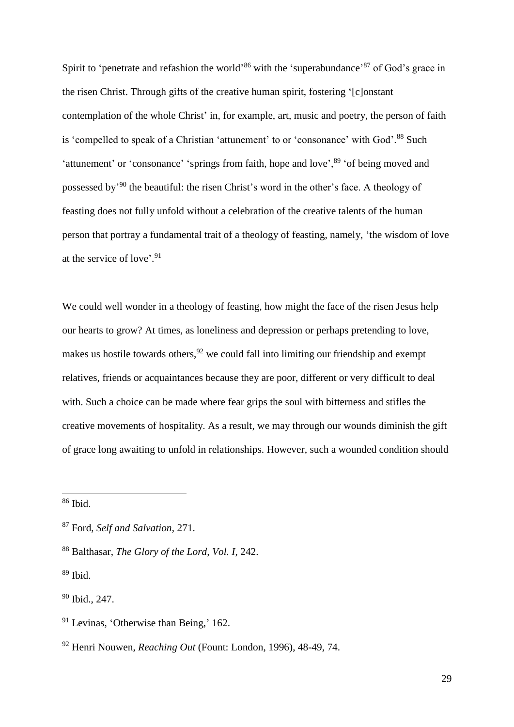Spirit to 'penetrate and refashion the world'<sup>86</sup> with the 'superabundance'<sup>87</sup> of God's grace in the risen Christ. Through gifts of the creative human spirit, fostering '[c]onstant contemplation of the whole Christ' in, for example, art, music and poetry, the person of faith is 'compelled to speak of a Christian 'attunement' to or 'consonance' with God'.<sup>88</sup> Such 'attunement' or 'consonance' 'springs from faith, hope and love',<sup>89</sup> 'of being moved and possessed by<sup>'90</sup> the beautiful: the risen Christ's word in the other's face. A theology of feasting does not fully unfold without a celebration of the creative talents of the human person that portray a fundamental trait of a theology of feasting, namely, 'the wisdom of love at the service of love'. 91

We could well wonder in a theology of feasting, how might the face of the risen Jesus help our hearts to grow? At times, as loneliness and depression or perhaps pretending to love, makes us hostile towards others,  $92$  we could fall into limiting our friendship and exempt relatives, friends or acquaintances because they are poor, different or very difficult to deal with. Such a choice can be made where fear grips the soul with bitterness and stifles the creative movements of hospitality. As a result, we may through our wounds diminish the gift of grace long awaiting to unfold in relationships. However, such a wounded condition should

<u>.</u>

 $86$  Ibid.

<sup>87</sup> Ford, *Self and Salvation*, 271.

<sup>88</sup> Balthasar, *The Glory of the Lord, Vol. I*, 242.

 $89$  Ibid.

<sup>90</sup> Ibid., 247.

<sup>&</sup>lt;sup>91</sup> Levinas, 'Otherwise than Being,' 162.

<sup>92</sup> Henri Nouwen, *Reaching Out* (Fount: London, 1996), 48-49, 74.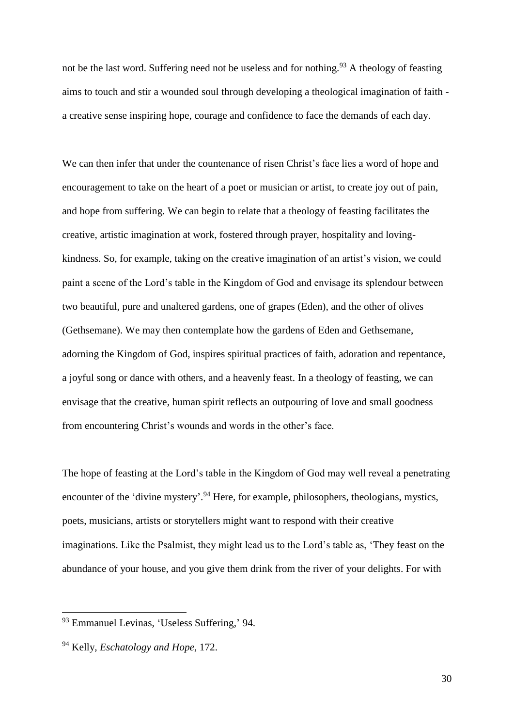not be the last word. Suffering need not be useless and for nothing.<sup>93</sup> A theology of feasting aims to touch and stir a wounded soul through developing a theological imagination of faith a creative sense inspiring hope, courage and confidence to face the demands of each day.

We can then infer that under the countenance of risen Christ's face lies a word of hope and encouragement to take on the heart of a poet or musician or artist, to create joy out of pain, and hope from suffering. We can begin to relate that a theology of feasting facilitates the creative, artistic imagination at work, fostered through prayer, hospitality and lovingkindness. So, for example, taking on the creative imagination of an artist's vision, we could paint a scene of the Lord's table in the Kingdom of God and envisage its splendour between two beautiful, pure and unaltered gardens, one of grapes (Eden), and the other of olives (Gethsemane). We may then contemplate how the gardens of Eden and Gethsemane, adorning the Kingdom of God, inspires spiritual practices of faith, adoration and repentance, a joyful song or dance with others, and a heavenly feast. In a theology of feasting, we can envisage that the creative, human spirit reflects an outpouring of love and small goodness from encountering Christ's wounds and words in the other's face.

The hope of feasting at the Lord's table in the Kingdom of God may well reveal a penetrating encounter of the 'divine mystery'.<sup>94</sup> Here, for example, philosophers, theologians, mystics, poets, musicians, artists or storytellers might want to respond with their creative imaginations. Like the Psalmist, they might lead us to the Lord's table as, 'They feast on the abundance of your house, and you give them drink from the river of your delights. For with

<u>.</u>

<sup>93</sup> Emmanuel Levinas, 'Useless Suffering,' 94.

<sup>94</sup> Kelly, *Eschatology and Hope*, 172.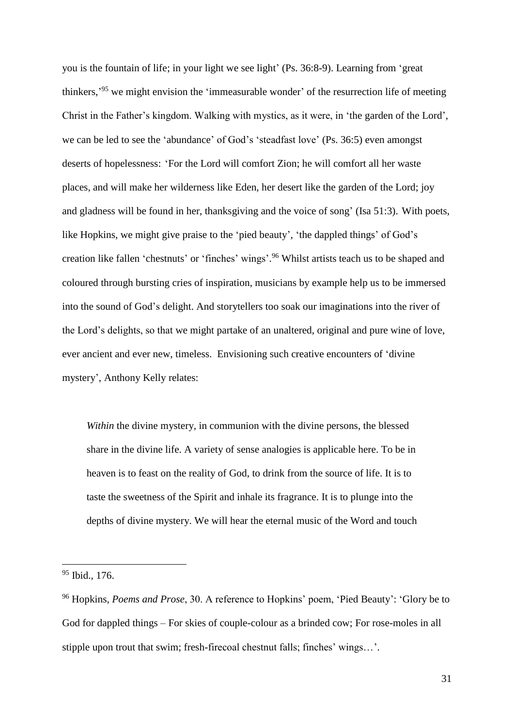you is the fountain of life; in your light we see light' (Ps. 36:8-9). Learning from 'great thinkers,<sup>95</sup> we might envision the 'immeasurable wonder' of the resurrection life of meeting Christ in the Father's kingdom. Walking with mystics, as it were, in 'the garden of the Lord', we can be led to see the 'abundance' of God's 'steadfast love' (Ps. 36:5) even amongst deserts of hopelessness: 'For the Lord will comfort Zion; he will comfort all her waste places, and will make her wilderness like Eden, her desert like the garden of the Lord; joy and gladness will be found in her, thanksgiving and the voice of song' (Isa 51:3). With poets, like Hopkins, we might give praise to the 'pied beauty', 'the dappled things' of God's creation like fallen 'chestnuts' or 'finches' wings'. <sup>96</sup> Whilst artists teach us to be shaped and coloured through bursting cries of inspiration, musicians by example help us to be immersed into the sound of God's delight. And storytellers too soak our imaginations into the river of the Lord's delights, so that we might partake of an unaltered, original and pure wine of love, ever ancient and ever new, timeless. Envisioning such creative encounters of 'divine mystery', Anthony Kelly relates:

*Within* the divine mystery, in communion with the divine persons, the blessed share in the divine life. A variety of sense analogies is applicable here. To be in heaven is to feast on the reality of God, to drink from the source of life. It is to taste the sweetness of the Spirit and inhale its fragrance. It is to plunge into the depths of divine mystery. We will hear the eternal music of the Word and touch

<sup>95</sup> Ibid., 176.

<sup>96</sup> Hopkins, *Poems and Prose*, 30. A reference to Hopkins' poem, 'Pied Beauty': 'Glory be to God for dappled things – For skies of couple-colour as a brinded cow; For rose-moles in all stipple upon trout that swim; fresh-firecoal chestnut falls; finches' wings…'.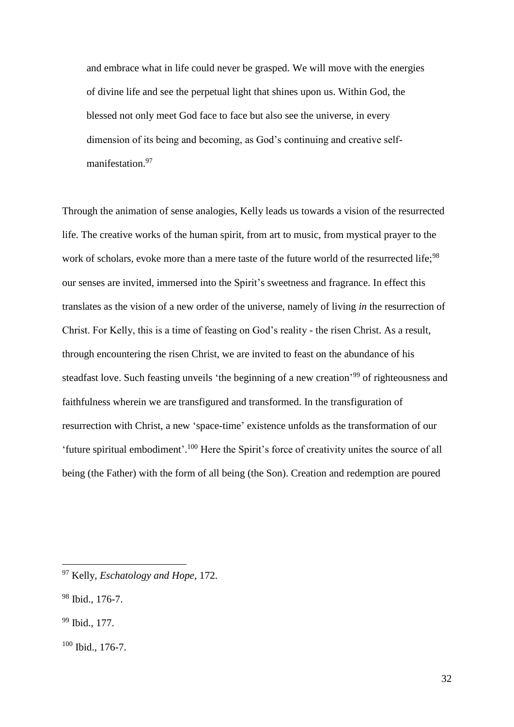and embrace what in life could never be grasped. We will move with the energies of divine life and see the perpetual light that shines upon us. Within God, the blessed not only meet God face to face but also see the universe, in every dimension of its being and becoming, as God's continuing and creative selfmanifestation.<sup>97</sup>

Through the animation of sense analogies, Kelly leads us towards a vision of the resurrected life. The creative works of the human spirit, from art to music, from mystical prayer to the work of scholars, evoke more than a mere taste of the future world of the resurrected life;<sup>98</sup> our senses are invited, immersed into the Spirit's sweetness and fragrance. In effect this translates as the vision of a new order of the universe, namely of living *in* the resurrection of Christ. For Kelly, this is a time of feasting on God's reality - the risen Christ. As a result, through encountering the risen Christ, we are invited to feast on the abundance of his steadfast love. Such feasting unveils 'the beginning of a new creation'<sup>99</sup> of righteousness and faithfulness wherein we are transfigured and transformed. In the transfiguration of resurrection with Christ, a new 'space-time' existence unfolds as the transformation of our 'future spiritual embodiment'.<sup>100</sup> Here the Spirit's force of creativity unites the source of all being (the Father) with the form of all being (the Son). Creation and redemption are poured

<sup>97</sup> Kelly, *Eschatology and Hope*, 172.

<sup>98</sup> Ibid., 176-7.

<sup>99</sup> Ibid., 177.

<sup>100</sup> Ibid., 176-7.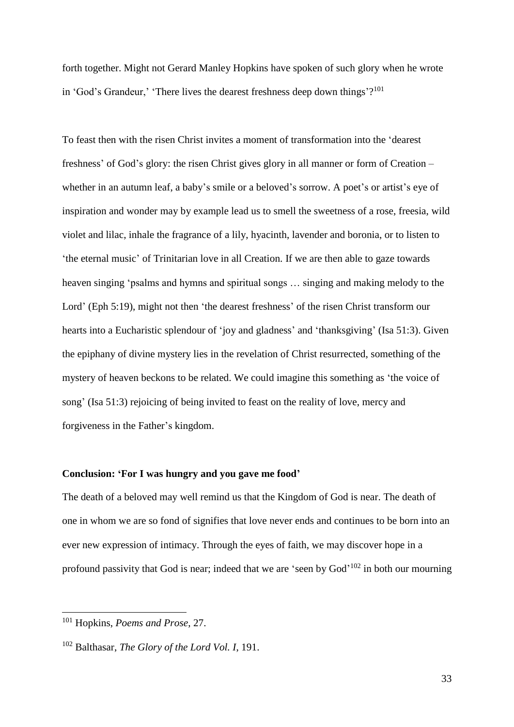forth together. Might not Gerard Manley Hopkins have spoken of such glory when he wrote in 'God's Grandeur,' 'There lives the dearest freshness deep down things'?<sup>101</sup>

To feast then with the risen Christ invites a moment of transformation into the 'dearest freshness' of God's glory: the risen Christ gives glory in all manner or form of Creation – whether in an autumn leaf, a baby's smile or a beloved's sorrow. A poet's or artist's eye of inspiration and wonder may by example lead us to smell the sweetness of a rose, freesia, wild violet and lilac, inhale the fragrance of a lily, hyacinth, lavender and boronia, or to listen to 'the eternal music' of Trinitarian love in all Creation. If we are then able to gaze towards heaven singing 'psalms and hymns and spiritual songs … singing and making melody to the Lord' (Eph 5:19), might not then 'the dearest freshness' of the risen Christ transform our hearts into a Eucharistic splendour of 'joy and gladness' and 'thanksgiving' (Isa 51:3). Given the epiphany of divine mystery lies in the revelation of Christ resurrected, something of the mystery of heaven beckons to be related. We could imagine this something as 'the voice of song' (Isa 51:3) rejoicing of being invited to feast on the reality of love, mercy and forgiveness in the Father's kingdom.

### **Conclusion: 'For I was hungry and you gave me food'**

The death of a beloved may well remind us that the Kingdom of God is near. The death of one in whom we are so fond of signifies that love never ends and continues to be born into an ever new expression of intimacy. Through the eyes of faith, we may discover hope in a profound passivity that God is near; indeed that we are 'seen by God'<sup>102</sup> in both our mourning

<u>.</u>

<sup>101</sup> Hopkins, *Poems and Prose*, 27.

<sup>102</sup> Balthasar, *The Glory of the Lord Vol. I*, 191.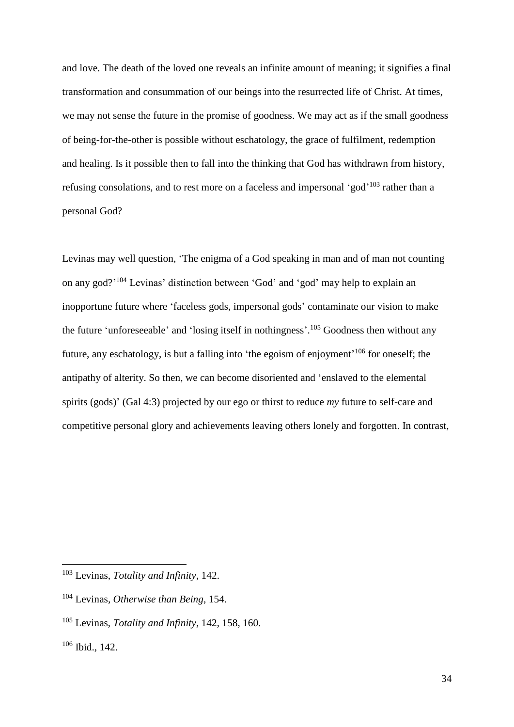and love. The death of the loved one reveals an infinite amount of meaning; it signifies a final transformation and consummation of our beings into the resurrected life of Christ. At times, we may not sense the future in the promise of goodness. We may act as if the small goodness of being-for-the-other is possible without eschatology, the grace of fulfilment, redemption and healing. Is it possible then to fall into the thinking that God has withdrawn from history, refusing consolations, and to rest more on a faceless and impersonal 'god'<sup>103</sup> rather than a personal God?

Levinas may well question, 'The enigma of a God speaking in man and of man not counting on any god?' <sup>104</sup> Levinas' distinction between 'God' and 'god' may help to explain an inopportune future where 'faceless gods, impersonal gods' contaminate our vision to make the future 'unforeseeable' and 'losing itself in nothingness'.<sup>105</sup> Goodness then without any future, any eschatology, is but a falling into 'the egoism of enjoyment'<sup>106</sup> for oneself; the antipathy of alterity. So then, we can become disoriented and 'enslaved to the elemental spirits (gods)' (Gal 4:3) projected by our ego or thirst to reduce *my* future to self-care and competitive personal glory and achievements leaving others lonely and forgotten. In contrast,

<sup>103</sup> Levinas, *Totality and Infinity*, 142.

<sup>104</sup> Levinas*, Otherwise than Being*, 154.

<sup>105</sup> Levinas, *Totality and Infinity*, 142, 158, 160.

<sup>106</sup> Ibid., 142.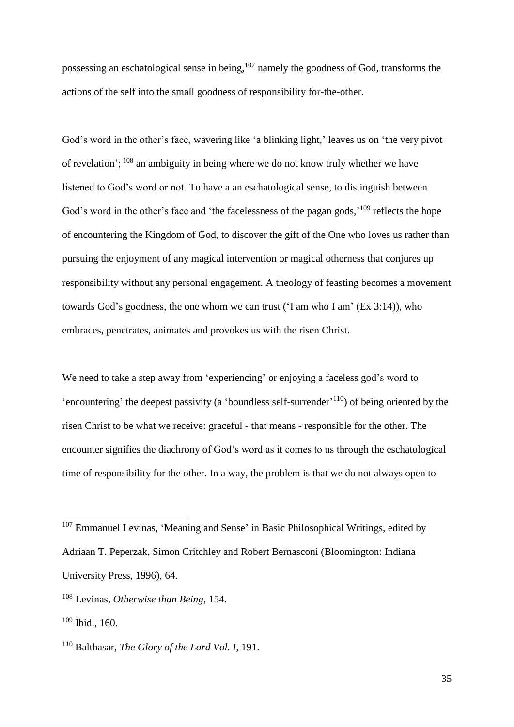possessing an eschatological sense in being,<sup>107</sup> namely the goodness of God, transforms the actions of the self into the small goodness of responsibility for-the-other.

God's word in the other's face, wavering like 'a blinking light,' leaves us on 'the very pivot of revelation'; <sup>108</sup> an ambiguity in being where we do not know truly whether we have listened to God's word or not. To have a an eschatological sense, to distinguish between God's word in the other's face and 'the facelessness of the pagan gods,'<sup>109</sup> reflects the hope of encountering the Kingdom of God, to discover the gift of the One who loves us rather than pursuing the enjoyment of any magical intervention or magical otherness that conjures up responsibility without any personal engagement. A theology of feasting becomes a movement towards God's goodness, the one whom we can trust ('I am who I am' (Ex 3:14)), who embraces, penetrates, animates and provokes us with the risen Christ.

We need to take a step away from 'experiencing' or enjoying a faceless god's word to 'encountering' the deepest passivity (a 'boundless self-surrender'<sup>110</sup>) of being oriented by the risen Christ to be what we receive: graceful - that means - responsible for the other. The encounter signifies the diachrony of God's word as it comes to us through the eschatological time of responsibility for the other. In a way, the problem is that we do not always open to

<sup>&</sup>lt;sup>107</sup> Emmanuel Levinas, 'Meaning and Sense' in Basic Philosophical Writings, edited by Adriaan T. Peperzak, Simon Critchley and Robert Bernasconi (Bloomington: Indiana University Press, 1996), 64.

<sup>108</sup> Levinas*, Otherwise than Being*, 154.

 $109$  Ibid., 160.

<sup>110</sup> Balthasar, *The Glory of the Lord Vol. I*, 191.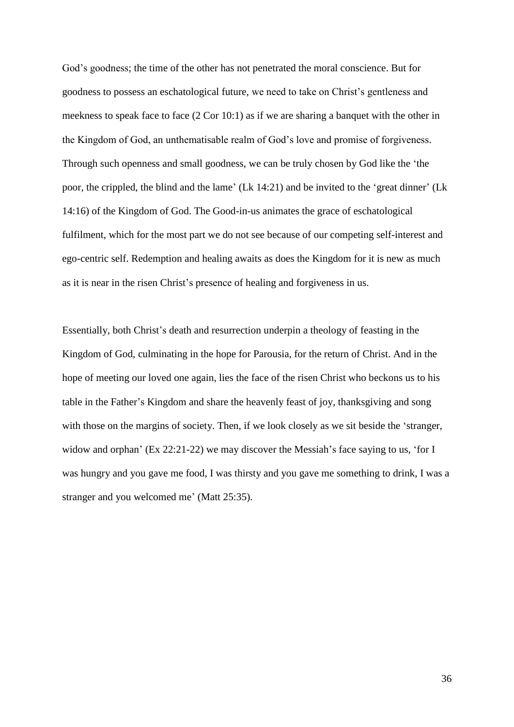God's goodness; the time of the other has not penetrated the moral conscience. But for goodness to possess an eschatological future, we need to take on Christ's gentleness and meekness to speak face to face (2 Cor 10:1) as if we are sharing a banquet with the other in the Kingdom of God, an unthematisable realm of God's love and promise of forgiveness. Through such openness and small goodness, we can be truly chosen by God like the 'the poor, the crippled, the blind and the lame' (Lk 14:21) and be invited to the 'great dinner' (Lk 14:16) of the Kingdom of God. The Good-in-us animates the grace of eschatological fulfilment, which for the most part we do not see because of our competing self-interest and ego-centric self. Redemption and healing awaits as does the Kingdom for it is new as much as it is near in the risen Christ's presence of healing and forgiveness in us.

Essentially, both Christ's death and resurrection underpin a theology of feasting in the Kingdom of God, culminating in the hope for Parousia, for the return of Christ. And in the hope of meeting our loved one again, lies the face of the risen Christ who beckons us to his table in the Father's Kingdom and share the heavenly feast of joy, thanksgiving and song with those on the margins of society. Then, if we look closely as we sit beside the 'stranger, widow and orphan' (Ex 22:21-22) we may discover the Messiah's face saying to us, 'for I was hungry and you gave me food, I was thirsty and you gave me something to drink, I was a stranger and you welcomed me' (Matt 25:35).